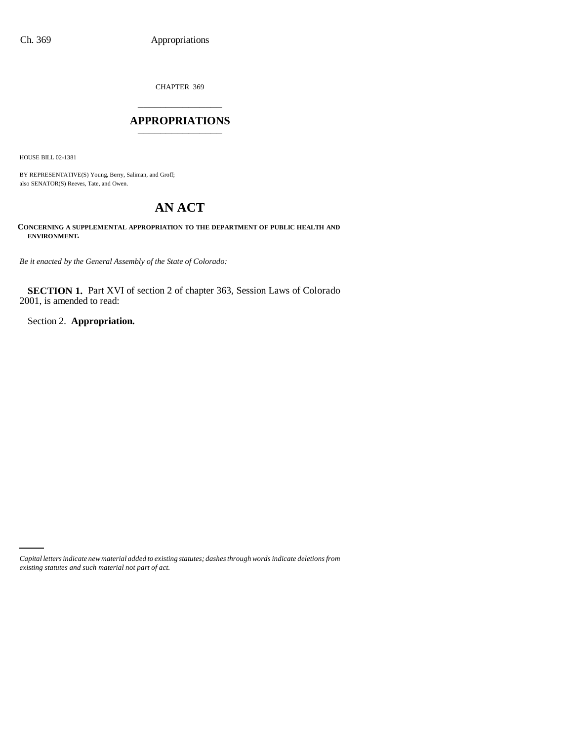CHAPTER 369 \_\_\_\_\_\_\_\_\_\_\_\_\_\_\_

# **APPROPRIATIONS** \_\_\_\_\_\_\_\_\_\_\_\_\_\_\_

HOUSE BILL 02-1381

BY REPRESENTATIVE(S) Young, Berry, Saliman, and Groff; also SENATOR(S) Reeves, Tate, and Owen.

# **AN ACT**

**CONCERNING A SUPPLEMENTAL APPROPRIATION TO THE DEPARTMENT OF PUBLIC HEALTH AND ENVIRONMENT.**

*Be it enacted by the General Assembly of the State of Colorado:*

**SECTION 1.** Part XVI of section 2 of chapter 363, Session Laws of Colorado 2001, is amended to read:

Section 2. **Appropriation.**

*Capital letters indicate new material added to existing statutes; dashes through words indicate deletions from existing statutes and such material not part of act.*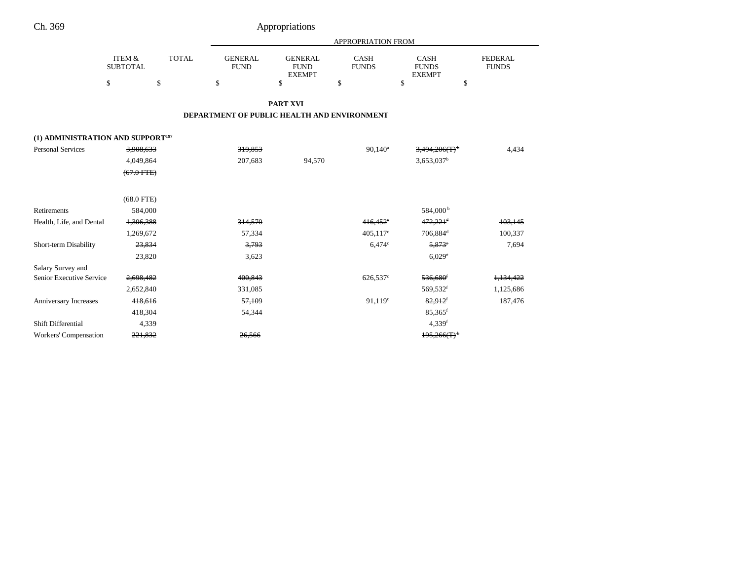| Ch. 369                                       |                                      |              |                                             | Appropriations                                 |                             |                                       |                                |  |
|-----------------------------------------------|--------------------------------------|--------------|---------------------------------------------|------------------------------------------------|-----------------------------|---------------------------------------|--------------------------------|--|
|                                               |                                      |              | APPROPRIATION FROM                          |                                                |                             |                                       |                                |  |
|                                               | <b>ITEM &amp;</b><br><b>SUBTOTAL</b> | <b>TOTAL</b> | <b>GENERAL</b><br><b>FUND</b>               | <b>GENERAL</b><br><b>FUND</b><br><b>EXEMPT</b> | <b>CASH</b><br><b>FUNDS</b> | CASH<br><b>FUNDS</b><br><b>EXEMPT</b> | <b>FEDERAL</b><br><b>FUNDS</b> |  |
|                                               | \$                                   | \$           | \$                                          | $\mathbf S$                                    | \$                          | \$<br>\$                              |                                |  |
|                                               |                                      |              |                                             | PART XVI                                       |                             |                                       |                                |  |
|                                               |                                      |              | DEPARTMENT OF PUBLIC HEALTH AND ENVIRONMENT |                                                |                             |                                       |                                |  |
|                                               |                                      |              |                                             |                                                |                             |                                       |                                |  |
| (1) ADMINISTRATION AND SUPPORT <sup>197</sup> |                                      |              |                                             |                                                |                             |                                       |                                |  |
| <b>Personal Services</b>                      | 3,908,633                            |              | 319,853                                     |                                                | $90,140^a$                  | 3,494,206(T)                          | 4,434                          |  |
|                                               | 4,049,864                            |              | 207,683                                     | 94,570                                         |                             | $3,653,037$ <sup>b</sup>              |                                |  |
|                                               | $(67.0$ FTE $)$                      |              |                                             |                                                |                             |                                       |                                |  |
|                                               |                                      |              |                                             |                                                |                             |                                       |                                |  |
|                                               | $(68.0$ FTE)                         |              |                                             |                                                |                             |                                       |                                |  |
| Retirements                                   | 584,000                              |              |                                             |                                                |                             | 584,000 <sup>b</sup>                  |                                |  |
| Health, Life, and Dental                      | 1,306,388                            |              | 314,570                                     |                                                | $416.452^{\circ}$           | $472,221$ <sup>d</sup>                | 103,145                        |  |
|                                               | 1,269,672                            |              | 57,334                                      |                                                | $405,117^{\circ}$           | 706,884 <sup>d</sup>                  | 100,337                        |  |
| Short-term Disability                         | 23,834                               |              | 3,793                                       |                                                | $6,474$ °                   | $5,873^{\circ}$                       | 7,694                          |  |
|                                               | 23,820                               |              | 3,623                                       |                                                |                             | $6,029^e$                             |                                |  |
| Salary Survey and                             |                                      |              |                                             |                                                |                             |                                       |                                |  |
| Senior Executive Service                      | 2,698,482                            |              | 400,843                                     |                                                | 626,537 <sup>c</sup>        | 536,680 <sup>f</sup>                  | 1,134,422                      |  |
|                                               | 2,652,840                            |              | 331,085                                     |                                                |                             | 569,532 <sup>f</sup>                  | 1,125,686                      |  |
| Anniversary Increases                         | 418,616                              |              | 57,109                                      |                                                | 91,119°                     | $82,912$ <sup>f</sup>                 | 187,476                        |  |
|                                               | 418,304                              |              | 54,344                                      |                                                |                             | $85,365$ <sup>f</sup>                 |                                |  |
| Shift Differential                            | 4,339                                |              |                                             |                                                |                             | $4,339$ <sup>f</sup>                  |                                |  |
| Workers' Compensation                         | 221.832                              |              | 26.566                                      |                                                |                             | 195,266(T)                            |                                |  |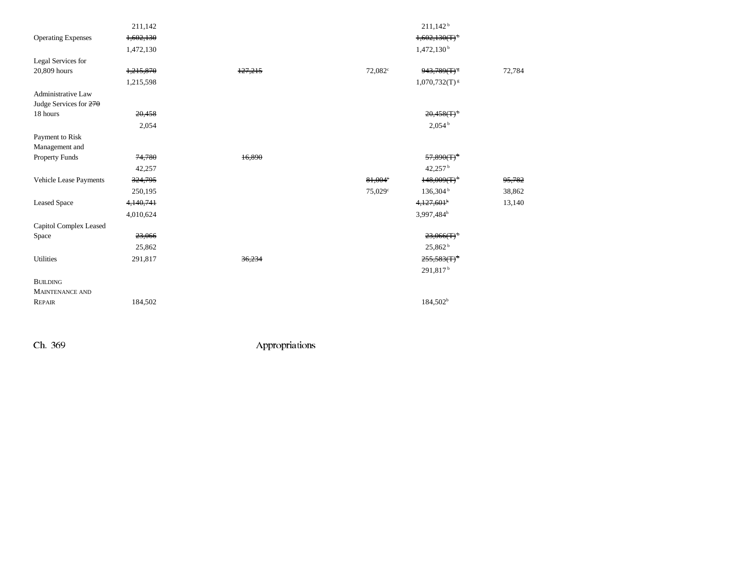|                           | 211,142   |         |                  | $211,142^b$                 |        |
|---------------------------|-----------|---------|------------------|-----------------------------|--------|
| <b>Operating Expenses</b> | 1,602,130 |         |                  | $1,602,130(T)$ <sup>+</sup> |        |
|                           | 1,472,130 |         |                  | 1,472,130 <sup>b</sup>      |        |
| Legal Services for        |           |         |                  |                             |        |
| 20,809 hours              | 1,215,870 | 127,215 | $72,082^{\circ}$ | $943,789(T)^{3}$            | 72,784 |
|                           | 1,215,598 |         |                  | $1,070,732(T)$ <sup>g</sup> |        |
| Administrative Law        |           |         |                  |                             |        |
| Judge Services for 270    |           |         |                  |                             |        |
| 18 hours                  | 20,458    |         |                  | $20,458(T)$ <sup>t</sup>    |        |
|                           | 2,054     |         |                  | 2,054 <sup>b</sup>          |        |
| Payment to Risk           |           |         |                  |                             |        |
| Management and            |           |         |                  |                             |        |
| Property Funds            | 74,780    | 16,890  |                  | $57,890(T)^+$               |        |
|                           | 42,257    |         |                  | 42,257 $^{\rm b}$           |        |
| Vehicle Lease Payments    | 324,795   |         | 81,004°          | $148,009(T)$ <sup>+</sup>   | 95,782 |
|                           | 250,195   |         | 75,029°          | 136,304 <sup>b</sup>        | 38,862 |
| <b>Leased Space</b>       | 4,140,741 |         |                  | 4,127,601 <sup>h</sup>      | 13,140 |
|                           | 4,010,624 |         |                  | 3,997,484h                  |        |
| Capitol Complex Leased    |           |         |                  |                             |        |
| Space                     | 23,066    |         |                  | $23,066(T)$ <sup>b</sup>    |        |
|                           | 25,862    |         |                  | 25,862 <sup>b</sup>         |        |
| Utilities                 | 291,817   | 36,234  |                  | $255,583$ (T) <sup>t</sup>  |        |
|                           |           |         |                  | 291,817 <sup>b</sup>        |        |
| <b>BUILDING</b>           |           |         |                  |                             |        |
| <b>MAINTENANCE AND</b>    |           |         |                  |                             |        |
| REPAIR                    | 184,502   |         |                  | 184,502 <sup>b</sup>        |        |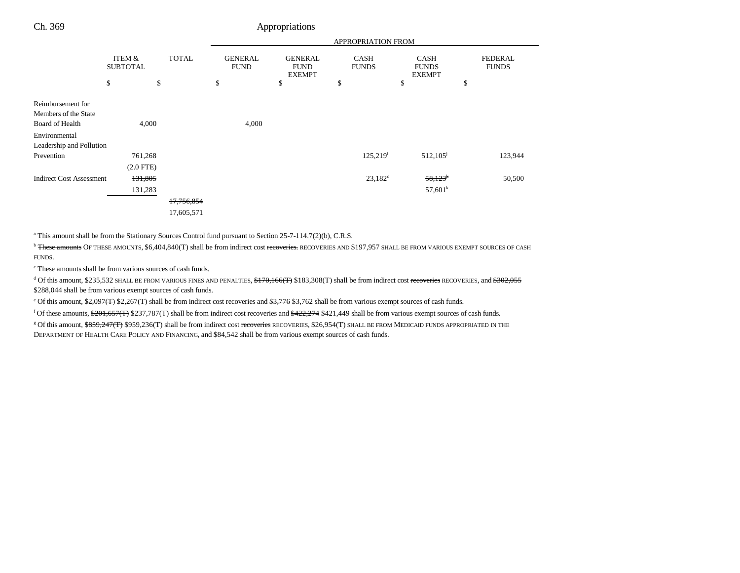|                                 | APPROPRIATION FROM        |              |                               |                                                |                             |                                              |                                |
|---------------------------------|---------------------------|--------------|-------------------------------|------------------------------------------------|-----------------------------|----------------------------------------------|--------------------------------|
|                                 | ITEM &<br><b>SUBTOTAL</b> | <b>TOTAL</b> | <b>GENERAL</b><br><b>FUND</b> | <b>GENERAL</b><br><b>FUND</b><br><b>EXEMPT</b> | <b>CASH</b><br><b>FUNDS</b> | <b>CASH</b><br><b>FUNDS</b><br><b>EXEMPT</b> | <b>FEDERAL</b><br><b>FUNDS</b> |
|                                 | \$                        | \$           | \$                            | \$                                             | \$                          | \$                                           | \$                             |
| Reimbursement for               |                           |              |                               |                                                |                             |                                              |                                |
| Members of the State            |                           |              |                               |                                                |                             |                                              |                                |
| Board of Health                 | 4,000                     |              | 4,000                         |                                                |                             |                                              |                                |
| Environmental                   |                           |              |                               |                                                |                             |                                              |                                |
| Leadership and Pollution        |                           |              |                               |                                                |                             |                                              |                                |
| Prevention                      | 761,268                   |              |                               |                                                | 125,219 <sup>i</sup>        | $512,105^{\rm j}$                            | 123,944                        |
|                                 | $(2.0$ FTE)               |              |                               |                                                |                             |                                              |                                |
| <b>Indirect Cost Assessment</b> | 131,805                   |              |                               |                                                | $23,182^c$                  | $58,123$ <sup>k</sup>                        | 50,500                         |
|                                 | 131,283                   |              |                               |                                                |                             | 57,601 <sup>k</sup>                          |                                |
|                                 |                           | 17,756,854   |                               |                                                |                             |                                              |                                |
|                                 |                           | 17,605,571   |                               |                                                |                             |                                              |                                |

<sup>a</sup> This amount shall be from the Stationary Sources Control fund pursuant to Section 25-7-114.7(2)(b), C.R.S.

Ch. 369 Appropriations

<sup>b</sup> These amounts OF THESE AMOUNTS, \$6,404,840(T) shall be from indirect cost recoveries. RECOVERIES AND \$197,957 SHALL BE FROM VARIOUS EXEMPT SOURCES OF CASH FUNDS.

c These amounts shall be from various sources of cash funds.

 $^4$  Of this amount, \$235,532 SHALL BE FROM VARIOUS FINES AND PENALTIES,  $$+70,166$ (T) \$183,308(T) shall be from indirect cost recoveries RECOVERIES, and  $$302,055$ \$288,044 shall be from various exempt sources of cash funds.

e Of this amount, \$2,097(T) \$2,267(T) shall be from indirect cost recoveries and \$3,776 \$3,762 shall be from various exempt sources of cash funds.

f Of these amounts, \$201,657(T) \$237,787(T) shall be from indirect cost recoveries and \$422,274 \$421,449 shall be from various exempt sources of cash funds. <sup>g</sup> Of this amount, \$859,247(T) \$959,236(T) shall be from indirect cost recoveries RECOVERIES, \$26,954(T) SHALL BE FROM MEDICAID FUNDS APPROPRIATED IN THE

DEPARTMENT OF HEALTH CARE POLICY AND FINANCING, and \$84,542 shall be from various exempt sources of cash funds.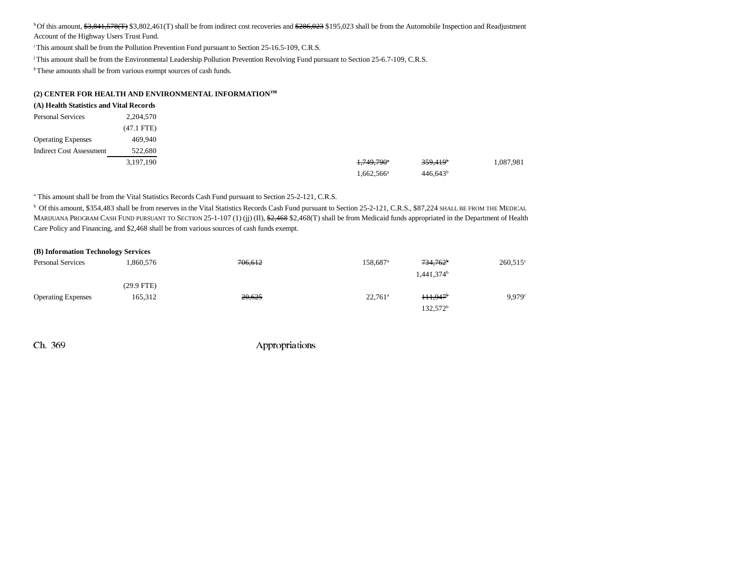<sup>h</sup>Of this amount,  $$3,841,578$ (T) \$3,802,461(T) shall be from indirect cost recoveries and  $$286,023$  \$195,023 shall be from the Automobile Inspection and Readjustment Account of the Highway Users Trust Fund.

<sup>i</sup> This amount shall be from the Pollution Prevention Fund pursuant to Section 25-16.5-109, C.R.S.

j This amount shall be from the Environmental Leadership Pollution Prevention Revolving Fund pursuant to Section 25-6.7-109, C.R.S.

k These amounts shall be from various exempt sources of cash funds.

#### **(2) CENTER FOR HEALTH AND ENVIRONMENTAL INFORMATION198**

| (A) Health Statistics and Vital Records |              |
|-----------------------------------------|--------------|
| <b>Personal Services</b>                | 2,204,570    |
|                                         | $(47.1$ FTE) |
| <b>Operating Expenses</b>               | 469,940      |
| <b>Indirect Cost Assessment</b>         | 522,680      |
|                                         | 3,197,190    |
|                                         |              |

<sup>a</sup> This amount shall be from the Vital Statistics Records Cash Fund pursuant to Section 25-2-121, C.R.S.

 $^{\rm b}$  Of this amount, \$354,483 shall be from reserves in the Vital Statistics Records Cash Fund pursuant to Section 25-2-121, C.R.S., \$87,224 SHALL BE FROM THE MEDICAL MARIJUANA PROGRAM CASH FUND PURSUANT TO SECTION 25-1-107 (1) (jj) (II), <del>\$2,468</del> \$2,468(T) shall be from Medicaid funds appropriated in the Department of Health Care Policy and Financing, and \$2,468 shall be from various sources of cash funds exempt.

| (B) Information Technology Services |              |                    |                      |                                       |                   |  |  |  |  |
|-------------------------------------|--------------|--------------------|----------------------|---------------------------------------|-------------------|--|--|--|--|
| <b>Personal Services</b>            | .860.576     | <del>706,612</del> | 158.687 <sup>a</sup> | $734,762^{\circ}$<br>$1,441,374^b$    | $260,515^{\circ}$ |  |  |  |  |
|                                     | $(29.9$ FTE) |                    |                      |                                       |                   |  |  |  |  |
| <b>Operating Expenses</b>           | 165,312      | 20,625             | $22,761^{\circ}$     | $111.947$ <sup>b</sup><br>$132,572^b$ | 9.979c            |  |  |  |  |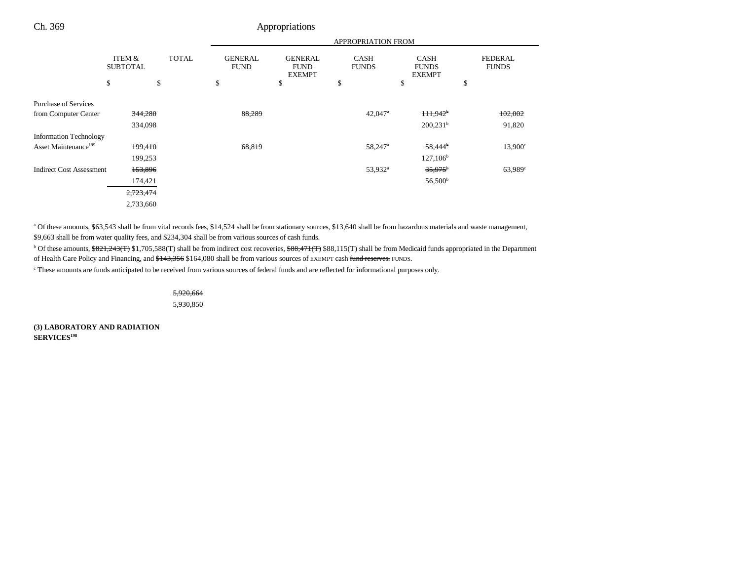|                                  |                           |              | <b>APPROPRIATION FROM</b>     |                                                |                             |                       |                                              |    |                                |
|----------------------------------|---------------------------|--------------|-------------------------------|------------------------------------------------|-----------------------------|-----------------------|----------------------------------------------|----|--------------------------------|
|                                  | ITEM &<br><b>SUBTOTAL</b> | <b>TOTAL</b> | <b>GENERAL</b><br><b>FUND</b> | <b>GENERAL</b><br><b>FUND</b><br><b>EXEMPT</b> | <b>CASH</b><br><b>FUNDS</b> |                       | <b>CASH</b><br><b>FUNDS</b><br><b>EXEMPT</b> |    | <b>FEDERAL</b><br><b>FUNDS</b> |
|                                  | \$                        | \$           | \$                            | \$                                             | \$                          | \$                    |                                              | \$ |                                |
| <b>Purchase of Services</b>      |                           |              |                               |                                                |                             |                       |                                              |    |                                |
| from Computer Center             | 344,280                   |              | 88,289                        |                                                |                             | $42,047$ <sup>a</sup> | $111.942$ <sup>b</sup>                       |    | 102,002                        |
|                                  | 334,098                   |              |                               |                                                |                             |                       | 200,231 <sup>b</sup>                         |    | 91,820                         |
| <b>Information Technology</b>    |                           |              |                               |                                                |                             |                       |                                              |    |                                |
| Asset Maintenance <sup>199</sup> | 199,410                   |              | 68,819                        |                                                |                             | 58,247 <sup>a</sup>   | $58,444$ <sup>b</sup>                        |    | $13,900^\circ$                 |
|                                  | 199,253                   |              |                               |                                                |                             |                       | $127,106^b$                                  |    |                                |
| <b>Indirect Cost Assessment</b>  | 153,896                   |              |                               |                                                |                             | 53,932 <sup>a</sup>   | $35,975$ <sup>b</sup>                        |    | $63,989^{\circ}$               |
|                                  | 174,421                   |              |                               |                                                |                             |                       | 56,500 <sup>b</sup>                          |    |                                |
|                                  | 2,723,474                 |              |                               |                                                |                             |                       |                                              |    |                                |
|                                  | 2,733,660                 |              |                               |                                                |                             |                       |                                              |    |                                |

a Of these amounts, \$63,543 shall be from vital records fees, \$14,524 shall be from stationary sources, \$13,640 shall be from hazardous materials and waste management, \$9,663 shall be from water quality fees, and \$234,304 shall be from various sources of cash funds.

<sup>b</sup> Of these amounts, \$821,243(T) \$1,705,588(T) shall be from indirect cost recoveries, \$88,471(T) \$88,115(T) shall be from Medicaid funds appropriated in the Department of Health Care Policy and Financing, and \$143,356 \$164,080 shall be from various sources of EXEMPT cash fund reserves. FUNDS.

c These amounts are funds anticipated to be received from various sources of federal funds and are reflected for informational purposes only.

5,920,664 5,930,850

Ch. 369 Appropriations

**(3) LABORATORY AND RADIATION SERVICES<sup>198</sup>**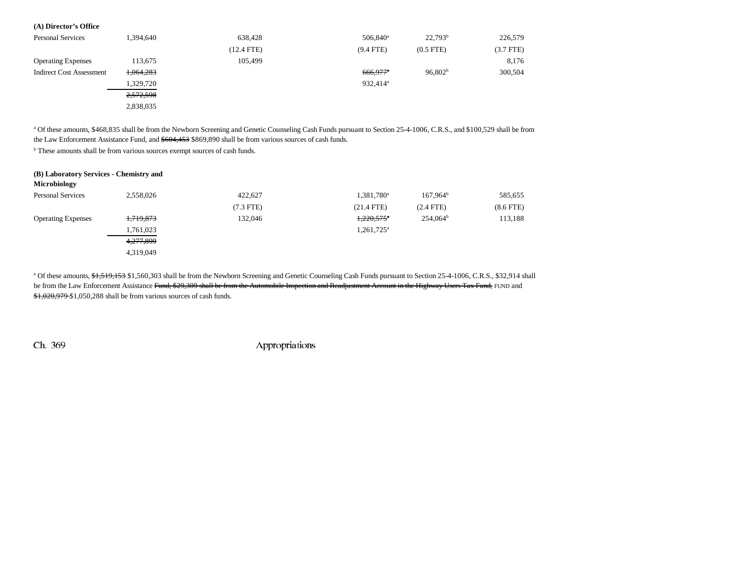# **(A) Director's Office**

| <b>Personal Services</b>        | 1,394,640 | 638,428      | 506,840 <sup>a</sup>   | $22,793^b$          | 226,579        |
|---------------------------------|-----------|--------------|------------------------|---------------------|----------------|
|                                 |           | $(12.4$ FTE) | $(9.4$ FTE)            | $(0.5$ FTE $)$      | $(3.7$ FTE $)$ |
| <b>Operating Expenses</b>       | 113,675   | 105,499      |                        |                     | 8,176          |
| <b>Indirect Cost Assessment</b> | 1,064,283 |              | $666.977$ <sup>a</sup> | 96,802 <sup>b</sup> | 300,504        |
|                                 | 1,329,720 |              | 932,414 <sup>a</sup>   |                     |                |
|                                 | 2,572,598 |              |                        |                     |                |
|                                 | 2,838,035 |              |                        |                     |                |

<sup>a</sup> Of these amounts, \$468,835 shall be from the Newborn Screening and Genetic Counseling Cash Funds pursuant to Section 25-4-1006, C.R.S., and \$100,529 shall be from the Law Enforcement Assistance Fund, and \$604,453 \$869,890 shall be from various sources of cash funds.

<sup>b</sup> These amounts shall be from various sources exempt sources of cash funds.

| (B) Laboratory Services - Chemistry and |           |             |                          |                      |             |
|-----------------------------------------|-----------|-------------|--------------------------|----------------------|-------------|
| Microbiology                            |           |             |                          |                      |             |
| <b>Personal Services</b>                | 2,558,026 | 422.627     | 1,381,780 <sup>a</sup>   | $167.964^b$          | 585,655     |
|                                         |           | $(7.3$ FTE) | $(21.4$ FTE)             | $(2.4$ FTE)          | $(8.6$ FTE) |
| <b>Operating Expenses</b>               | 1,719,873 | 132.046     | $1,220,575$ <sup>*</sup> | 254.064 <sup>b</sup> | 113,188     |
|                                         | 1,761,023 |             | 1,261,725 <sup>a</sup>   |                      |             |
|                                         | 4,277,899 |             |                          |                      |             |
|                                         | 4,319,049 |             |                          |                      |             |

<sup>a</sup> Of these amounts, \$1,519,153 \$1,560,303 shall be from the Newborn Screening and Genetic Counseling Cash Funds pursuant to Section 25-4-1006, C.R.S., \$32,914 shall be from the Law Enforcement Assistance Fund, \$29,309 shall be from the Automobile Inspection and Readjustment Account in the Highway Users Tax Fund, FUND and \$1,020,979 \$1,050,288 shall be from various sources of cash funds.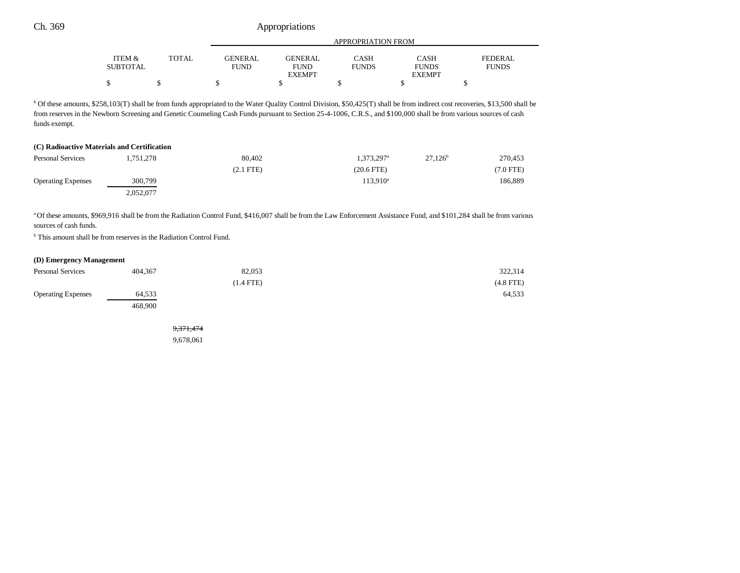|                 |              |                | APPROPRIATION FROM |              |               |              |  |  |
|-----------------|--------------|----------------|--------------------|--------------|---------------|--------------|--|--|
|                 |              |                |                    |              |               |              |  |  |
| ITEM &          | <b>TOTAL</b> | <b>GENERAL</b> | <b>GENERAL</b>     | <b>CASH</b>  | <b>CASH</b>   | FEDERAL      |  |  |
| <b>SUBTOTAL</b> |              | <b>FUND</b>    | <b>FUND</b>        | <b>FUNDS</b> | <b>FUNDS</b>  | <b>FUNDS</b> |  |  |
|                 |              |                | <b>EXEMPT</b>      |              | <b>EXEMPT</b> |              |  |  |
|                 |              |                |                    |              |               |              |  |  |

<sup>b</sup> Of these amounts, \$258,103(T) shall be from funds appropriated to the Water Quality Control Division, \$50,425(T) shall be from indirect cost recoveries, \$13,500 shall be from reserves in the Newborn Screening and Genetic Counseling Cash Funds pursuant to Section 25-4-1006, C.R.S., and \$100,000 shall be from various sources of cash funds exempt.

# **(C) Radioactive Materials and Certification** Personal Services 1,751,278 80,402 1,373,297<sup>a</sup> 27,126<sup>b</sup> 270,453 (2.1 FTE) (20.6 FTE) (7.0 FTE) Operating Expenses 300,799 113,910<sup>a</sup> 186,889

a Of these amounts, \$969,916 shall be from the Radiation Control Fund, \$416,007 shall be from the Law Enforcement Assistance Fund, and \$101,284 shall be from various sources of cash funds.

<sup>b</sup> This amount shall be from reserves in the Radiation Control Fund.

2,052,077

#### **(D) Emergency Management**

| <b>Personal Services</b>  | 404,367 | 82,053      | 322,314        |
|---------------------------|---------|-------------|----------------|
|                           |         | $(1.4$ FTE) | $(4.8$ FTE $)$ |
| <b>Operating Expenses</b> | 64,533  |             | 64,533         |
|                           | 468,900 |             |                |

9,371,474 9,678,061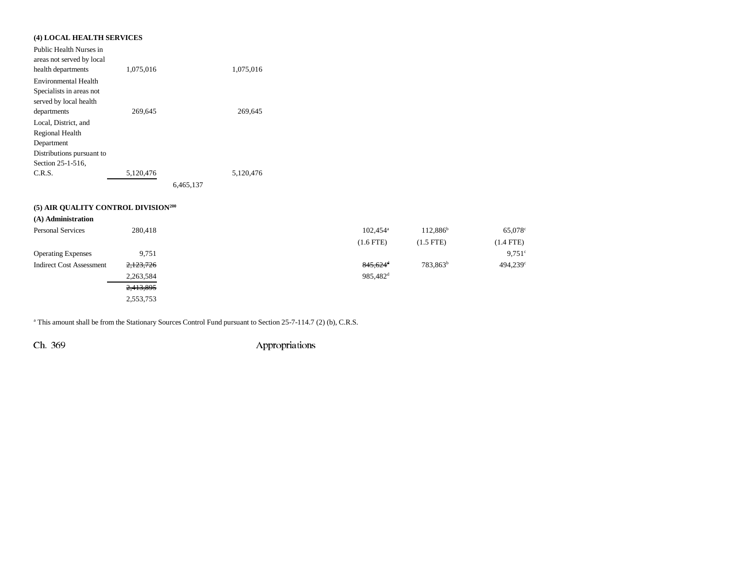# **(4) LOCAL HEALTH SERVICES**

| Public Health Nurses in   |           |           |           |
|---------------------------|-----------|-----------|-----------|
| areas not served by local |           |           |           |
| health departments        | 1,075,016 |           | 1,075,016 |
| Environmental Health      |           |           |           |
| Specialists in areas not  |           |           |           |
| served by local health    |           |           |           |
| departments               | 269,645   |           | 269,645   |
| Local, District, and      |           |           |           |
| Regional Health           |           |           |           |
| Department                |           |           |           |
| Distributions pursuant to |           |           |           |
| Section 25-1-516,         |           |           |           |
| C.R.S.                    | 5,120,476 |           | 5.120.476 |
|                           |           | 6.465.137 |           |

# **(5) AIR QUALITY CONTROL DIVISION200**

| (A) Administration              |           |                      |                      |                        |
|---------------------------------|-----------|----------------------|----------------------|------------------------|
| <b>Personal Services</b>        | 280,418   | $102.454^{\circ}$    | $112.886^{b}$        | 65,078 <sup>c</sup>    |
|                                 |           | $(1.6$ FTE)          | $(1.5$ FTE)          | $(1.4$ FTE)            |
| <b>Operating Expenses</b>       | 9,751     |                      |                      | $9,751$ °              |
| <b>Indirect Cost Assessment</b> | 2,123,726 | $845,624^{\circ}$    | 783,863 <sup>b</sup> | $494,239$ <sup>c</sup> |
|                                 | 2,263,584 | 985,482 <sup>d</sup> |                      |                        |
|                                 | 2,413,895 |                      |                      |                        |
|                                 | 2,553,753 |                      |                      |                        |
|                                 |           |                      |                      |                        |

<sup>a</sup> This amount shall be from the Stationary Sources Control Fund pursuant to Section 25-7-114.7 (2) (b), C.R.S.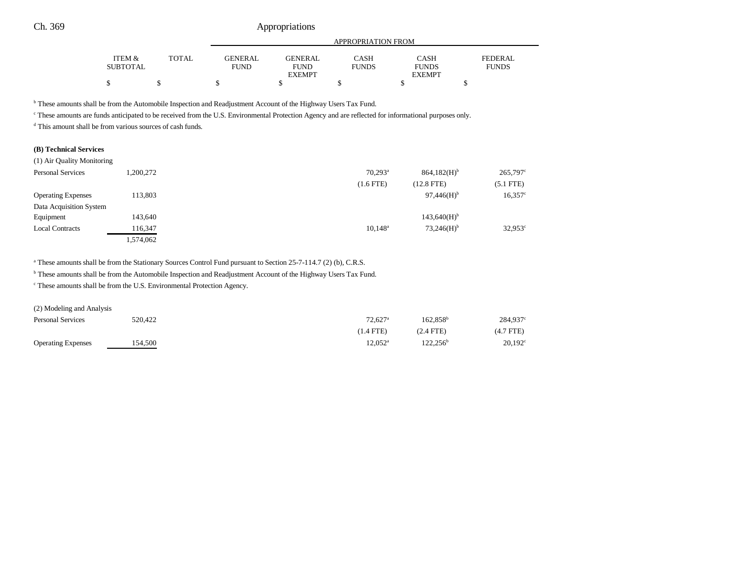|                 |              | APPROPRIATION FROM |                |              |               |                |
|-----------------|--------------|--------------------|----------------|--------------|---------------|----------------|
| ITEM &          | <b>TOTAL</b> | <b>GENERAL</b>     | <b>GENERAL</b> | CASH         | CASH          | <b>FEDERAL</b> |
| <b>SUBTOTAL</b> |              | <b>FUND</b>        | FUND           | <b>FUNDS</b> | <b>FUNDS</b>  | <b>FUNDS</b>   |
|                 |              |                    | <b>EXEMPT</b>  |              | <b>EXEMPT</b> |                |
|                 |              |                    |                |              |               |                |

b These amounts shall be from the Automobile Inspection and Readjustment Account of the Highway Users Tax Fund.

c These amounts are funds anticipated to be received from the U.S. Environmental Protection Agency and are reflected for informational purposes only.

d This amount shall be from various sources of cash funds.

### **(B) Technical Services**

| (1) Air Quality Monitoring |           |                       |                           |                  |
|----------------------------|-----------|-----------------------|---------------------------|------------------|
| <b>Personal Services</b>   | .200.272  | $70.293$ <sup>a</sup> | $864,182(H)$ <sup>b</sup> | $265,797$ °      |
|                            |           | $(1.6$ FTE $)$        | $(12.8$ FTE)              | $(5.1$ FTE)      |
| <b>Operating Expenses</b>  | 113,803   |                       | $97,446(H)$ <sup>b</sup>  | $16,357$ °       |
| Data Acquisition System    |           |                       |                           |                  |
| Equipment                  | 143,640   |                       | $143,640(H)$ <sup>b</sup> |                  |
| <b>Local Contracts</b>     | 116,347   | $10.148^{\circ}$      | $73,246(H)$ <sup>b</sup>  | $32,953^{\circ}$ |
|                            | 1,574,062 |                       |                           |                  |

<sup>a</sup> These amounts shall be from the Stationary Sources Control Fund pursuant to Section 25-7-114.7 (2) (b), C.R.S.

b These amounts shall be from the Automobile Inspection and Readjustment Account of the Highway Users Tax Fund.

c These amounts shall be from the U.S. Environmental Protection Agency.

(2) Modeling and Analysis

| <b>Personal Services</b>  | 520,422 | $72.627$ <sup>a</sup> | $162.858^{\circ}$    | 284.937 <sup>c</sup> |
|---------------------------|---------|-----------------------|----------------------|----------------------|
|                           |         | (1.4 FTE)             | $(2.4$ FTE)          | $(4.7$ FTE $)$       |
| <b>Operating Expenses</b> | 154.500 | $12.052^{\rm a}$      | 122.256 <sup>b</sup> | $20,192^{\circ}$     |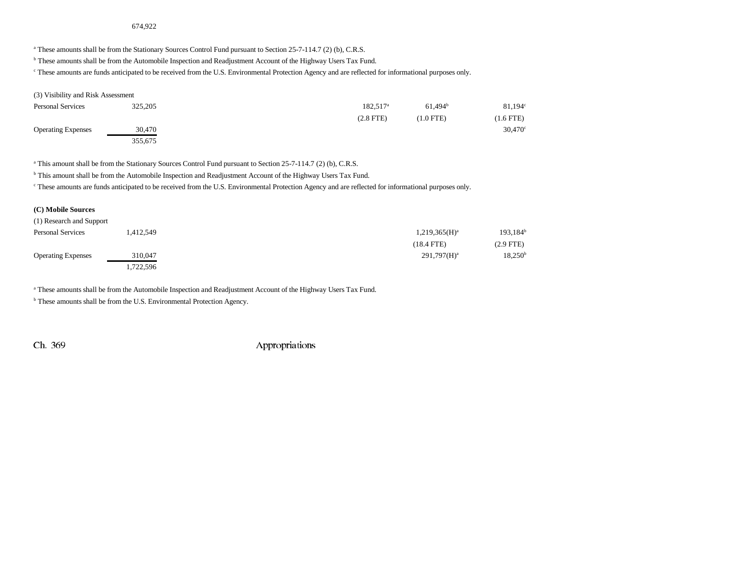# 674,922

<sup>a</sup> These amounts shall be from the Stationary Sources Control Fund pursuant to Section 25-7-114.7 (2) (b), C.R.S.

**b** These amounts shall be from the Automobile Inspection and Readjustment Account of the Highway Users Tax Fund.

c These amounts are funds anticipated to be received from the U.S. Environmental Protection Agency and are reflected for informational purposes only.

#### (3) Visibility and Risk Assessment

| <b>Personal Services</b>  | 325,205 | 182.517 <sup>a</sup> | $61.494^b$  | $81,194^\circ$   |
|---------------------------|---------|----------------------|-------------|------------------|
|                           |         | $(2.8$ FTE $)$       | $(1.0$ FTE) | $(1.6$ FTE)      |
| <b>Operating Expenses</b> | 30,470  |                      |             | $30,470^{\circ}$ |
|                           | 355,675 |                      |             |                  |

a This amount shall be from the Stationary Sources Control Fund pursuant to Section 25-7-114.7 (2) (b), C.R.S.

<sup>b</sup> This amount shall be from the Automobile Inspection and Readjustment Account of the Highway Users Tax Fund.

c These amounts are funds anticipated to be received from the U.S. Environmental Protection Agency and are reflected for informational purposes only.

## **(C) Mobile Sources**

| (1) Research and Support  |           |                  |                     |
|---------------------------|-----------|------------------|---------------------|
| <b>Personal Services</b>  | 412,549.  | $1,219,365(H)^a$ | $193,184^b$         |
|                           |           | $(18.4$ FTE)     | $(2.9$ FTE)         |
| <b>Operating Expenses</b> | 310,047   | $291,797(H)^a$   | 18,250 <sup>b</sup> |
|                           | 1,722,596 |                  |                     |

a These amounts shall be from the Automobile Inspection and Readjustment Account of the Highway Users Tax Fund.

**b** These amounts shall be from the U.S. Environmental Protection Agency.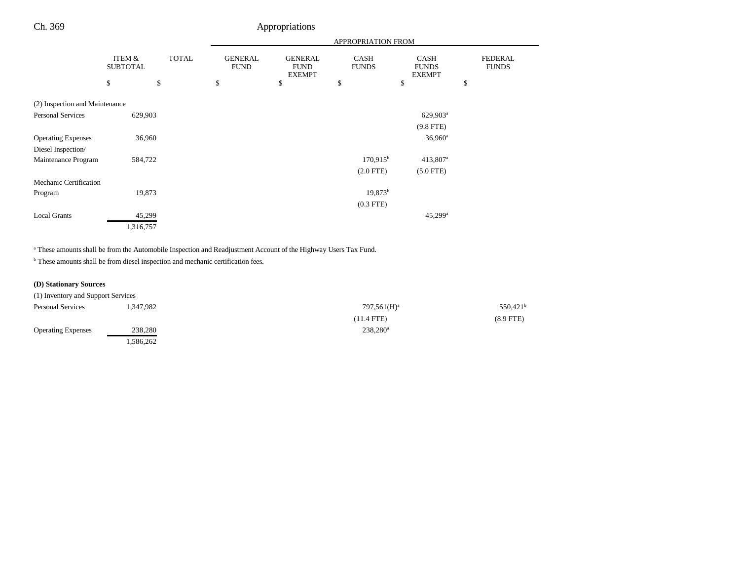|                                |                           | <b>APPROPRIATION FROM</b> |                               |                                                |                             |                                              |                                |
|--------------------------------|---------------------------|---------------------------|-------------------------------|------------------------------------------------|-----------------------------|----------------------------------------------|--------------------------------|
|                                | ITEM &<br><b>SUBTOTAL</b> | <b>TOTAL</b>              | <b>GENERAL</b><br><b>FUND</b> | <b>GENERAL</b><br><b>FUND</b><br><b>EXEMPT</b> | <b>CASH</b><br><b>FUNDS</b> | <b>CASH</b><br><b>FUNDS</b><br><b>EXEMPT</b> | <b>FEDERAL</b><br><b>FUNDS</b> |
|                                | \$                        | \$                        | \$                            | \$                                             | \$                          | \$                                           | \$                             |
| (2) Inspection and Maintenance |                           |                           |                               |                                                |                             |                                              |                                |
| Personal Services              | 629,903                   |                           |                               |                                                |                             | 629,903 <sup>a</sup>                         |                                |
|                                |                           |                           |                               |                                                |                             | $(9.8$ FTE)                                  |                                |
| <b>Operating Expenses</b>      | 36,960                    |                           |                               |                                                |                             | $36,960^a$                                   |                                |
| Diesel Inspection/             |                           |                           |                               |                                                |                             |                                              |                                |
| Maintenance Program            | 584,722                   |                           |                               |                                                | $170,915^{\circ}$           | 413,807 <sup>a</sup>                         |                                |
|                                |                           |                           |                               |                                                | $(2.0$ FTE $)$              | $(5.0$ FTE)                                  |                                |
| Mechanic Certification         |                           |                           |                               |                                                |                             |                                              |                                |
| Program                        | 19,873                    |                           |                               |                                                | $19,873^b$                  |                                              |                                |
|                                |                           |                           |                               |                                                | $(0.3$ FTE $)$              |                                              |                                |
| <b>Local Grants</b>            | 45,299                    |                           |                               |                                                |                             | 45,299 <sup>a</sup>                          |                                |
|                                | 1,316,757                 |                           |                               |                                                |                             |                                              |                                |

a These amounts shall be from the Automobile Inspection and Readjustment Account of the Highway Users Tax Fund.

 $^{\rm b}$  These amounts shall be from diesel inspection and mechanic certification fees.

# **(D) Stationary Sources**

| (1) Inventory and Support Services |           |                 |                   |
|------------------------------------|-----------|-----------------|-------------------|
| <b>Personal Services</b>           | 1.347.982 | $797,561(H)^a$  | $550,421^{\rm b}$ |
|                                    |           | $(11.4$ FTE $)$ | $(8.9$ FTE)       |
| <b>Operating Expenses</b>          | 238,280   | $238,280^a$     |                   |
|                                    | .586,262  |                 |                   |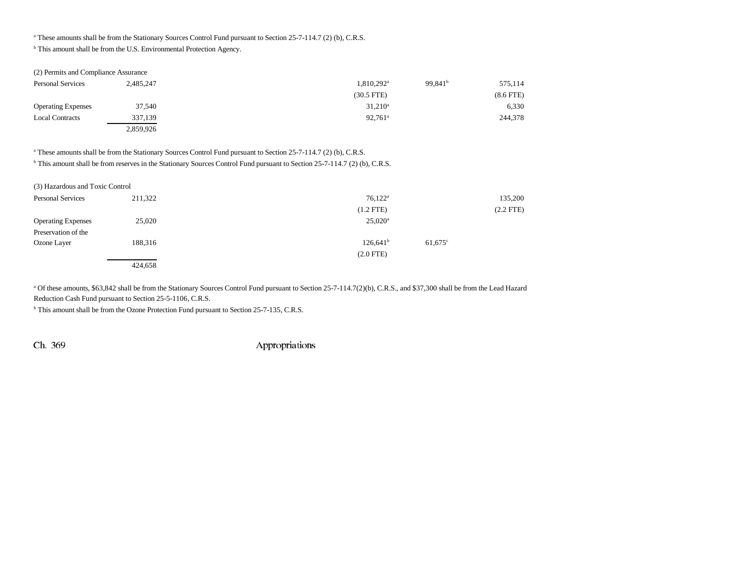<sup>a</sup> These amounts shall be from the Stationary Sources Control Fund pursuant to Section 25-7-114.7 (2) (b), C.R.S.

b This amount shall be from the U.S. Environmental Protection Agency.

| (2) Permits and Compliance Assurance |           |                          |                     |             |
|--------------------------------------|-----------|--------------------------|---------------------|-------------|
| <b>Personal Services</b>             | 2,485,247 | $1,810,292$ <sup>a</sup> | 99.841 <sup>b</sup> | 575,114     |
|                                      |           | $(30.5$ FTE)             |                     | $(8.6$ FTE) |
| <b>Operating Expenses</b>            | 37,540    | $31,210^a$               |                     | 6,330       |
| <b>Local Contracts</b>               | 337,139   | $92.761^{\circ}$         |                     | 244,378     |
|                                      | 2,859,926 |                          |                     |             |

<sup>a</sup> These amounts shall be from the Stationary Sources Control Fund pursuant to Section 25-7-114.7 (2) (b), C.R.S.

<sup>b</sup> This amount shall be from reserves in the Stationary Sources Control Fund pursuant to Section 25-7-114.7 (2) (b), C.R.S.

| (3) Hazardous and Toxic Control |         |                           |             |
|---------------------------------|---------|---------------------------|-------------|
| <b>Personal Services</b>        | 211,322 | $76,122^{\rm a}$          | 135,200     |
|                                 |         | $(1.2$ FTE)               | $(2.2$ FTE) |
| <b>Operating Expenses</b>       | 25,020  | $25,020^{\rm a}$          |             |
| Preservation of the             |         |                           |             |
| Ozone Layer                     | 188,316 | $126,641^b$<br>$61,675$ ° |             |
|                                 |         | $(2.0$ FTE)               |             |
|                                 | 424,658 |                           |             |

<sup>a</sup> Of these amounts, \$63,842 shall be from the Stationary Sources Control Fund pursuant to Section 25-7-114.7(2)(b), C.R.S., and \$37,300 shall be from the Lead Hazard Reduction Cash Fund pursuant to Section 25-5-1106, C.R.S.

b This amount shall be from the Ozone Protection Fund pursuant to Section 25-7-135, C.R.S.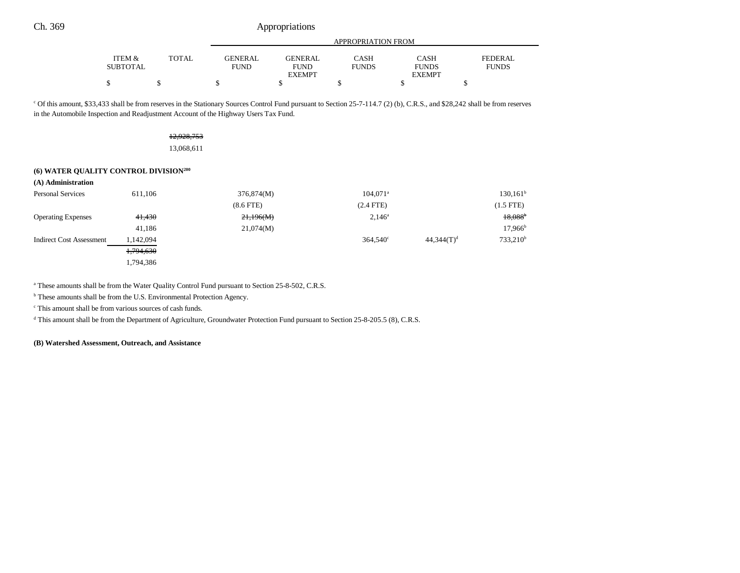|                 |              |         | APPROPRIATION FROM |              |               |                |  |
|-----------------|--------------|---------|--------------------|--------------|---------------|----------------|--|
| ITEM &          | <b>TOTAL</b> | GENERAL | <b>GENERAL</b>     | CASH         | <b>CASH</b>   | <b>FEDERAL</b> |  |
| <b>SUBTOTAL</b> |              | FUND    | <b>FUND</b>        | <b>FUNDS</b> | <b>FUNDS</b>  | <b>FUNDS</b>   |  |
|                 |              |         | <b>EXEMPT</b>      |              | <b>EXEMPT</b> |                |  |
|                 |              |         |                    |              |               |                |  |

c Of this amount, \$33,433 shall be from reserves in the Stationary Sources Control Fund pursuant to Section 25-7-114.7 (2) (b), C.R.S., and \$28,242 shall be from reserves in the Automobile Inspection and Readjustment Account of the Highway Users Tax Fund.

12,928,753

13,068,611

#### **(6) WATER QUALITY CONTROL DIVISION200**

| (A) Administration              |           |                |                        |               |                       |
|---------------------------------|-----------|----------------|------------------------|---------------|-----------------------|
| <b>Personal Services</b>        | 611,106   | 376,874(M)     | $104.071$ <sup>a</sup> |               | $130, 161^b$          |
|                                 |           | $(8.6$ FTE $)$ | $(2.4$ FTE)            |               | $(1.5$ FTE)           |
| <b>Operating Expenses</b>       | 41,430    | 21,196(M)      | $2,146^a$              |               | $18,088$ <sup>b</sup> |
|                                 | 41,186    | 21,074(M)      |                        |               | $17,966^{\rm b}$      |
| <b>Indirect Cost Assessment</b> | 1,142,094 |                | $364.540^{\circ}$      | $44,344(T)^d$ | $733,210^b$           |
|                                 | 1,794,630 |                |                        |               |                       |
|                                 | 1,794,386 |                |                        |               |                       |

<sup>a</sup> These amounts shall be from the Water Quality Control Fund pursuant to Section 25-8-502, C.R.S.

<sup>b</sup> These amounts shall be from the U.S. Environmental Protection Agency.

c This amount shall be from various sources of cash funds.

d This amount shall be from the Department of Agriculture, Groundwater Protection Fund pursuant to Section 25-8-205.5 (8), C.R.S.

**(B) Watershed Assessment, Outreach, and Assistance**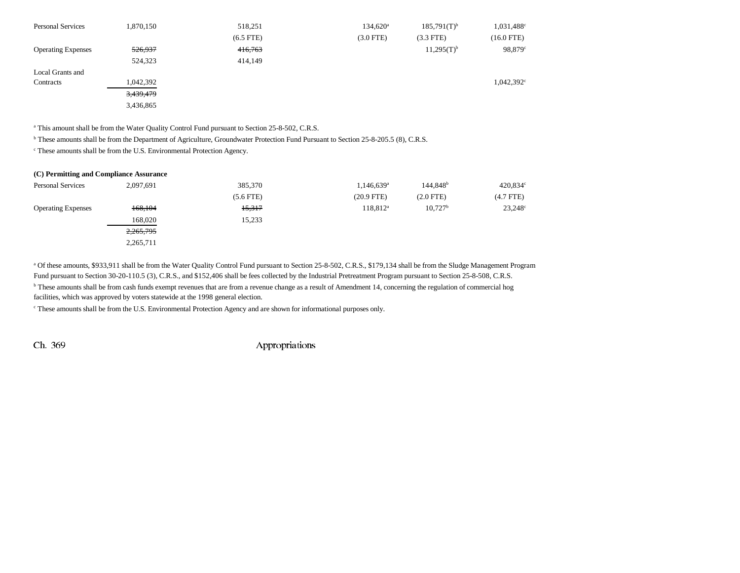| <b>Personal Services</b>  | 1,870,150 | 518,251     | $134,620^{\circ}$ | $185,791(T)^{b}$ | 1,031,488 <sup>c</sup> |
|---------------------------|-----------|-------------|-------------------|------------------|------------------------|
|                           |           | $(6.5$ FTE) | $(3.0$ FTE)       | $(3.3$ FTE)      | $(16.0$ FTE)           |
| <b>Operating Expenses</b> | 526,937   | 416,763     |                   | $11,295(T)^{b}$  | 98,879°                |
|                           | 524,323   | 414,149     |                   |                  |                        |
| Local Grants and          |           |             |                   |                  |                        |
| Contracts                 | 1,042,392 |             |                   |                  | $1,042,392^{\circ}$    |
|                           | 3,439,479 |             |                   |                  |                        |
|                           | 3,436,865 |             |                   |                  |                        |

<sup>a</sup> This amount shall be from the Water Quality Control Fund pursuant to Section 25-8-502, C.R.S.

b These amounts shall be from the Department of Agriculture, Groundwater Protection Fund Pursuant to Section 25-8-205.5 (8), C.R.S.

c These amounts shall be from the U.S. Environmental Protection Agency.

| (C) Permitting and Compliance Assurance |             |                        |                       |                  |
|-----------------------------------------|-------------|------------------------|-----------------------|------------------|
| 2,097,691                               | 385,370     | 1,146,639 <sup>a</sup> | 144.848 <sup>b</sup>  | 420,834°         |
|                                         | $(5.6$ FTE) | $(20.9$ FTE)           | $(2.0$ FTE)           | $(4.7$ FTE $)$   |
| 168,104                                 | 15,317      | 118,812 <sup>a</sup>   | $10,727$ <sup>b</sup> | $23,248^{\circ}$ |
| 168,020                                 | 15,233      |                        |                       |                  |
| 2,265,795                               |             |                        |                       |                  |
| 2,265,711                               |             |                        |                       |                  |
|                                         |             |                        |                       |                  |

a Of these amounts, \$933,911 shall be from the Water Quality Control Fund pursuant to Section 25-8-502, C.R.S., \$179,134 shall be from the Sludge Management Program Fund pursuant to Section 30-20-110.5 (3), C.R.S., and \$152,406 shall be fees collected by the Industrial Pretreatment Program pursuant to Section 25-8-508, C.R.S. <sup>b</sup> These amounts shall be from cash funds exempt revenues that are from a revenue change as a result of Amendment 14, concerning the regulation of commercial hog facilities, which was approved by voters statewide at the 1998 general election.

c These amounts shall be from the U.S. Environmental Protection Agency and are shown for informational purposes only.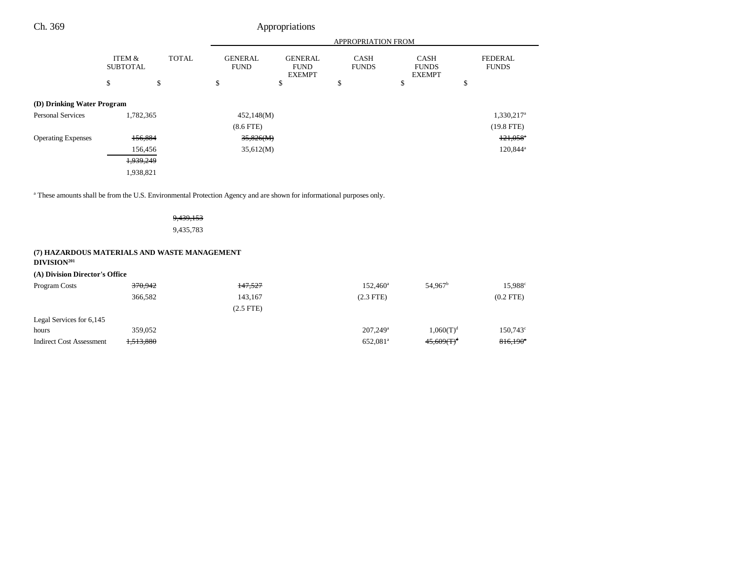| Ch. 369                                                                                                               |                                      |                        |                               | Appropriations                                 |                             |                                              |                                |
|-----------------------------------------------------------------------------------------------------------------------|--------------------------------------|------------------------|-------------------------------|------------------------------------------------|-----------------------------|----------------------------------------------|--------------------------------|
|                                                                                                                       |                                      |                        |                               |                                                | APPROPRIATION FROM          |                                              |                                |
|                                                                                                                       | <b>ITEM &amp;</b><br><b>SUBTOTAL</b> | <b>TOTAL</b>           | <b>GENERAL</b><br><b>FUND</b> | <b>GENERAL</b><br><b>FUND</b><br><b>EXEMPT</b> | <b>CASH</b><br><b>FUNDS</b> | <b>CASH</b><br><b>FUNDS</b><br><b>EXEMPT</b> | <b>FEDERAL</b><br><b>FUNDS</b> |
|                                                                                                                       | \$                                   | \$                     | \$                            | \$                                             | \$                          | \$                                           | \$                             |
| (D) Drinking Water Program                                                                                            |                                      |                        |                               |                                                |                             |                                              |                                |
| <b>Personal Services</b>                                                                                              | 1,782,365                            |                        | 452,148(M)                    |                                                |                             |                                              | 1,330,217 <sup>a</sup>         |
|                                                                                                                       |                                      |                        | $(8.6$ FTE)                   |                                                |                             |                                              | $(19.8$ FTE)                   |
| <b>Operating Expenses</b>                                                                                             | 156,884                              |                        | 35,826(M)                     |                                                |                             |                                              | $121,058$ <sup>*</sup>         |
|                                                                                                                       | 156,456                              |                        | 35,612(M)                     |                                                |                             |                                              | $120,844^{\circ}$              |
|                                                                                                                       | 1,939,249                            |                        |                               |                                                |                             |                                              |                                |
|                                                                                                                       | 1,938,821                            |                        |                               |                                                |                             |                                              |                                |
| a These amounts shall be from the U.S. Environmental Protection Agency and are shown for informational purposes only. |                                      | 9,439,153<br>9,435,783 |                               |                                                |                             |                                              |                                |
| (7) HAZARDOUS MATERIALS AND WASTE MANAGEMENT<br>DIVISION <sup>201</sup>                                               |                                      |                        |                               |                                                |                             |                                              |                                |
| (A) Division Director's Office                                                                                        |                                      |                        |                               |                                                |                             |                                              |                                |
| Program Costs                                                                                                         | 370,942                              |                        | 147,527                       |                                                | $152,460^a$                 | 54,967 <sup>b</sup>                          | 15,988 <sup>c</sup>            |
|                                                                                                                       | 366,582                              |                        | 143,167                       |                                                | $(2.3$ FTE)                 |                                              | $(0.2$ FTE)                    |
|                                                                                                                       |                                      |                        | $(2.5$ FTE)                   |                                                |                             |                                              |                                |

hours 359,052 359,052 359,052 359,052 207,249<sup>a</sup> 1,060(T)<sup>d</sup> 150,743<sup>c</sup>  $\text{Indirect Cost Assessment} \quad 1,513,880 \quad 652,081^{\text{a}} \quad 45,609 \times \text{T}^{\text{d}} \quad 816,190^{\circ}$ 

Legal Services for 6,145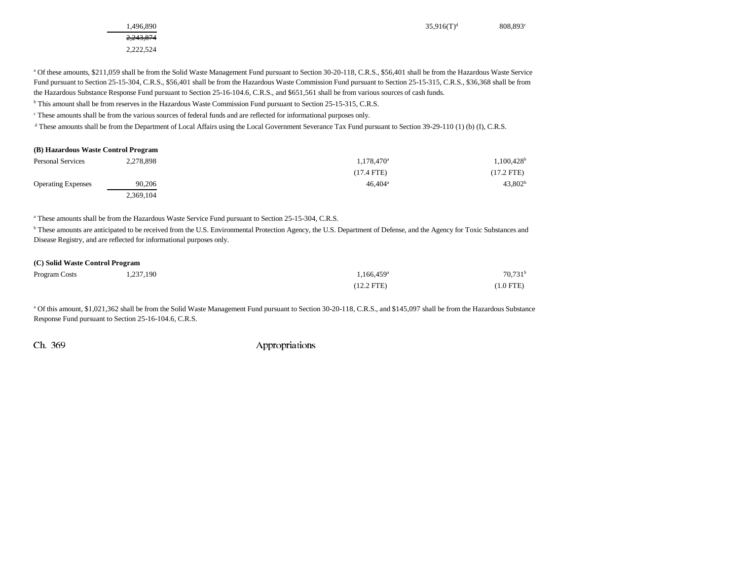2,243,874 2,222,524

 $1,496,890$  808,893<sup>c</sup> 808,893<sup>c</sup>

<sup>a</sup> Of these amounts, \$211,059 shall be from the Solid Waste Management Fund pursuant to Section 30-20-118, C.R.S., \$56,401 shall be from the Hazardous Waste Service Fund pursuant to Section 25-15-304, C.R.S., \$56,401 shall be from the Hazardous Waste Commission Fund pursuant to Section 25-15-315, C.R.S., \$36,368 shall be from the Hazardous Substance Response Fund pursuant to Section 25-16-104.6, C.R.S., and \$651,561 shall be from various sources of cash funds.

b This amount shall be from reserves in the Hazardous Waste Commission Fund pursuant to Section 25-15-315, C.R.S.

c These amounts shall be from the various sources of federal funds and are reflected for informational purposes only.

<sup>d</sup> These amounts shall be from the Department of Local Affairs using the Local Government Severance Tax Fund pursuant to Section 39-29-110 (1) (b) (I), C.R.S.

| <b>Personal Services</b>  | 2.278.898 | $1,178,470^a$    | $1,100,428$ <sup>t</sup> |
|---------------------------|-----------|------------------|--------------------------|
|                           |           | $(17.4$ FTE)     | (17.2 FTE)               |
| <b>Operating Expenses</b> | 90,206    | $46.404^{\circ}$ | 43,802 <sup>b</sup>      |
|                           | 2,369,104 |                  |                          |

<sup>a</sup> These amounts shall be from the Hazardous Waste Service Fund pursuant to Section 25-15-304, C.R.S.

<sup>b</sup> These amounts are anticipated to be received from the U.S. Environmental Protection Agency, the U.S. Department of Defense, and the Agency for Toxic Substances and Disease Registry, and are reflected for informational purposes only.

#### **(C) Solid Waste Control Program**

| Program Costs | 1,237,190 | $1.166.459^{\rm a}$ | $70,731$ <sup>t</sup> |
|---------------|-----------|---------------------|-----------------------|
|               |           | $(12.2$ FTE)        | (1.0 FTE)             |

a Of this amount, \$1,021,362 shall be from the Solid Waste Management Fund pursuant to Section 30-20-118, C.R.S., and \$145,097 shall be from the Hazardous Substance Response Fund pursuant to Section 25-16-104.6, C.R.S.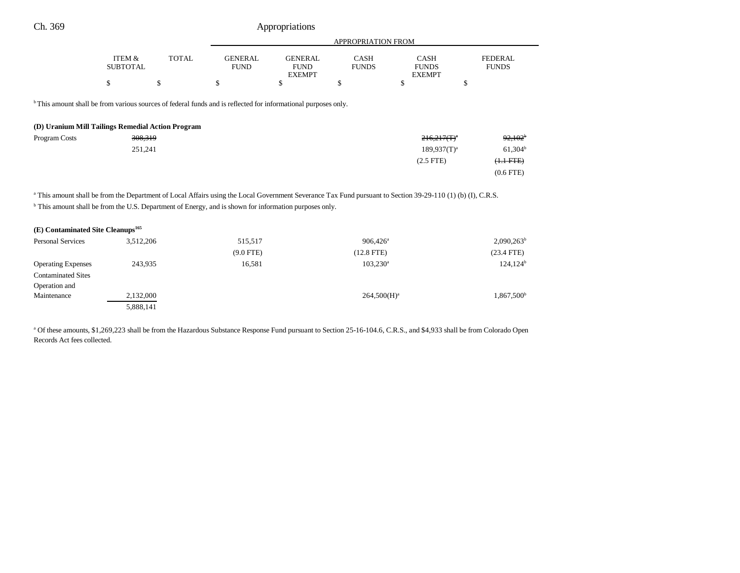| Appropriations |  |  |
|----------------|--|--|
|                |  |  |

|                                                                                                                                                                        |                                                   |              |                               |                                                | APPROPRIATION FROM          |                                              |                                |
|------------------------------------------------------------------------------------------------------------------------------------------------------------------------|---------------------------------------------------|--------------|-------------------------------|------------------------------------------------|-----------------------------|----------------------------------------------|--------------------------------|
|                                                                                                                                                                        | ITEM &<br><b>SUBTOTAL</b>                         | <b>TOTAL</b> | <b>GENERAL</b><br><b>FUND</b> | <b>GENERAL</b><br><b>FUND</b><br><b>EXEMPT</b> | <b>CASH</b><br><b>FUNDS</b> | <b>CASH</b><br><b>FUNDS</b><br><b>EXEMPT</b> | <b>FEDERAL</b><br><b>FUNDS</b> |
|                                                                                                                                                                        | \$                                                | \$           | \$                            | \$                                             | \$                          | <sup>\$</sup>                                | \$                             |
| <sup>b</sup> This amount shall be from various sources of federal funds and is reflected for informational purposes only.                                              |                                                   |              |                               |                                                |                             |                                              |                                |
|                                                                                                                                                                        | (D) Uranium Mill Tailings Remedial Action Program |              |                               |                                                |                             |                                              |                                |
| Program Costs                                                                                                                                                          | 308,319                                           |              |                               |                                                |                             | $216,217(T)^4$                               | $92,102^{\circ}$               |
|                                                                                                                                                                        | 251,241                                           |              |                               |                                                |                             | $189,937(T)^a$                               | $61,304^b$                     |
|                                                                                                                                                                        |                                                   |              |                               |                                                |                             | $(2.5$ FTE $)$                               | $(\text{1.1} \text{ FFE})$     |
|                                                                                                                                                                        |                                                   |              |                               |                                                |                             |                                              | $(0.6$ FTE $)$                 |
| <sup>a</sup> This amount shall be from the Department of Local Affairs using the Local Government Severance Tax Fund pursuant to Section 39-29-110 (1) (b) (I), C.R.S. |                                                   |              |                               |                                                |                             |                                              |                                |
| <sup>b</sup> This amount shall be from the U.S. Department of Energy, and is shown for information purposes only.                                                      |                                                   |              |                               |                                                |                             |                                              |                                |
| (E) Contaminated Site Cleanups <sup>165</sup>                                                                                                                          |                                                   |              |                               |                                                |                             |                                              |                                |
| Personal Services                                                                                                                                                      | 3,512,206                                         |              | 515,517                       |                                                | $906,426^{\circ}$           |                                              | $2,090,263^b$                  |
|                                                                                                                                                                        |                                                   |              | $(9.0$ FTE)                   |                                                | $(12.8$ FTE $)$             |                                              | $(23.4$ FTE)                   |

Operating Expenses 243,935 16,581 103,230<sup>a</sup> 124,124<sup>b</sup>

Maintenance 2,132,000 264,500 $\text{M}^{\text{a}}$  264,500 $\text{H}^{\text{a}}$  264,500 $\text{H}^{\text{b}}$  1,867,500b

<sup>a</sup> Of these amounts, \$1,269,223 shall be from the Hazardous Substance Response Fund pursuant to Section 25-16-104.6, C.R.S., and \$4,933 shall be from Colorado Open

Contaminated Sites Operation and

Records Act fees collected.

5,888,141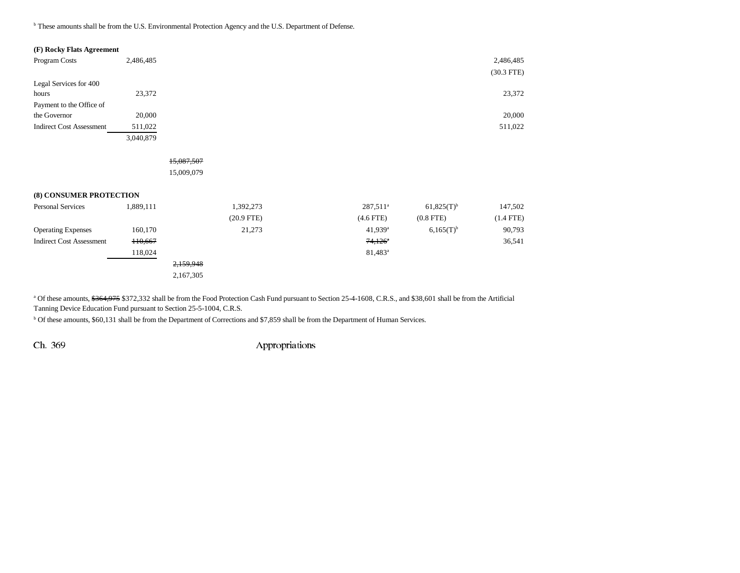b These amounts shall be from the U.S. Environmental Protection Agency and the U.S. Department of Defense.

| (F) Rocky Flats Agreement       |           |              |
|---------------------------------|-----------|--------------|
| Program Costs                   | 2,486,485 | 2,486,485    |
|                                 |           | $(30.3$ FTE) |
| Legal Services for 400          |           |              |
| hours                           | 23,372    | 23,372       |
| Payment to the Office of        |           |              |
| the Governor                    | 20,000    | 20,000       |
| <b>Indirect Cost Assessment</b> | 511,022   | 511,022      |
|                                 | 3,040,879 |              |

FTE)

15,087,507 15,009,079

# **(8) CONSUMER PROTECTION**

| <b>Personal Services</b>        | 1,889,111 | 1,392,273    | $287,511^a$           | $61,825(T)^{b}$ | 147,502        |
|---------------------------------|-----------|--------------|-----------------------|-----------------|----------------|
|                                 |           | $(20.9$ FTE) | $(4.6$ FTE)           | $(0.8$ FTE $)$  | $(1.4$ FTE $)$ |
| <b>Operating Expenses</b>       | 160,170   | 21,273       | $41,939$ <sup>a</sup> | $6,165(T)^{b}$  | 90,793         |
| <b>Indirect Cost Assessment</b> | H0,667    |              | $74,126$ <sup>*</sup> |                 | 36,541         |
|                                 | 118.024   |              | $81,483^{\rm a}$      |                 |                |
|                                 |           | 2,159,948    |                       |                 |                |
|                                 |           | 2,167,305    |                       |                 |                |

<sup>a</sup> Of these amounts, \$364,975 \$372,332 shall be from the Food Protection Cash Fund pursuant to Section 25-4-1608, C.R.S., and \$38,601 shall be from the Artificial Tanning Device Education Fund pursuant to Section 25-5-1004, C.R.S.

b Of these amounts, \$60,131 shall be from the Department of Corrections and \$7,859 shall be from the Department of Human Services.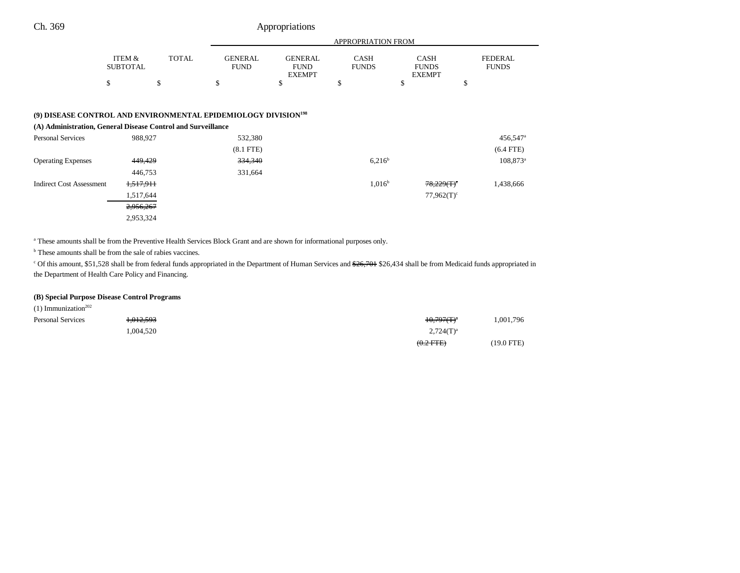|                                                                                                                                            |                           |              |                               |                                                | <b>APPROPRIATION FROM</b> |                                              |                                |
|--------------------------------------------------------------------------------------------------------------------------------------------|---------------------------|--------------|-------------------------------|------------------------------------------------|---------------------------|----------------------------------------------|--------------------------------|
|                                                                                                                                            | ITEM &<br><b>SUBTOTAL</b> | <b>TOTAL</b> | <b>GENERAL</b><br><b>FUND</b> | <b>GENERAL</b><br><b>FUND</b><br><b>EXEMPT</b> | CASH<br><b>FUNDS</b>      | <b>CASH</b><br><b>FUNDS</b><br><b>EXEMPT</b> | <b>FEDERAL</b><br><b>FUNDS</b> |
|                                                                                                                                            | \$                        | \$           | \$                            | \$                                             | \$                        | \$                                           | \$                             |
|                                                                                                                                            |                           |              |                               |                                                |                           |                                              |                                |
| (9) DISEASE CONTROL AND ENVIRONMENTAL EPIDEMIOLOGY DIVISION <sup>198</sup><br>(A) Administration, General Disease Control and Surveillance |                           |              |                               |                                                |                           |                                              |                                |
| Personal Services                                                                                                                          | 988,927                   |              | 532,380                       |                                                |                           |                                              | $456,547$ <sup>a</sup>         |
|                                                                                                                                            |                           |              | $(8.1$ FTE $)$                |                                                |                           |                                              | $(6.4$ FTE)                    |
| <b>Operating Expenses</b>                                                                                                                  | 449,429                   |              | 334,340                       |                                                | $6,216^b$                 |                                              | $108,873^{\circ}$              |
|                                                                                                                                            | 446,753                   |              | 331,664                       |                                                |                           |                                              |                                |
| <b>Indirect Cost Assessment</b>                                                                                                            | 1,517,911                 |              |                               |                                                | $1,016^{\rm b}$           | $78,229(T)^c$                                | 1,438,666                      |
|                                                                                                                                            | 1,517,644                 |              |                               |                                                |                           | $77,962(T)^c$                                |                                |
|                                                                                                                                            | 2,956,267                 |              |                               |                                                |                           |                                              |                                |
|                                                                                                                                            | 2,953,324                 |              |                               |                                                |                           |                                              |                                |

a These amounts shall be from the Preventive Health Services Block Grant and are shown for informational purposes only.

<sup>b</sup> These amounts shall be from the sale of rabies vaccines.

<sup>c</sup> Of this amount, \$51,528 shall be from federal funds appropriated in the Department of Human Services and \$26,701 \$26,434 shall be from Medicaid funds appropriated in the Department of Health Care Policy and Financing.

# **(B) Special Purpose Disease Control Programs**

| $(1)$ Immunization <sup>202</sup> |           |                |            |
|-----------------------------------|-----------|----------------|------------|
| <b>Personal Services</b>          | 1,012,593 | $10,797(T)^a$  | .001,796   |
|                                   | .004.520  | $2,724(T)^{a}$ |            |
|                                   |           | $(0.2$ FTE)    | (19.0 FTE) |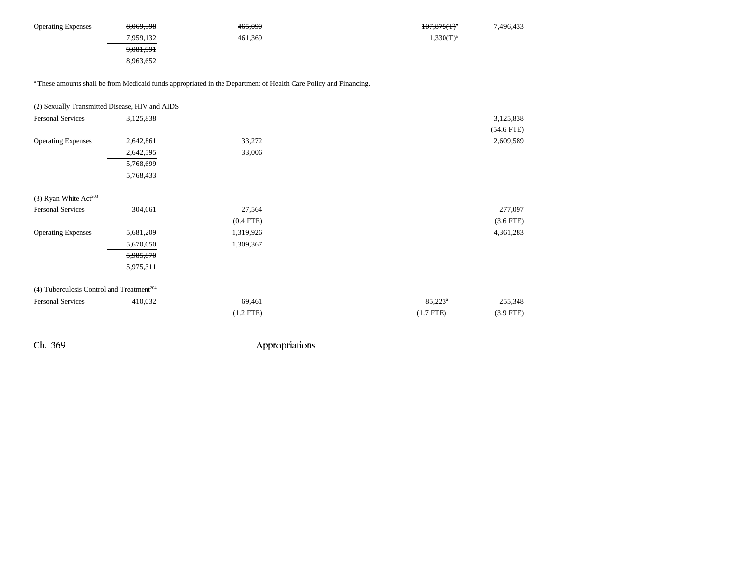| <b>Operating Expenses</b> | 8,069,398            | 465,090 | $107,875$ (T) <sup>a</sup><br>7,496,433 |
|---------------------------|----------------------|---------|-----------------------------------------|
|                           | 7,959,132            | 461.369 | $1,330(T)^{a}$                          |
|                           | <del>9,081,991</del> |         |                                         |
|                           | 8,963,652            |         |                                         |

<sup>a</sup> These amounts shall be from Medicaid funds appropriated in the Department of Health Care Policy and Financing.

| (2) Sexually Transmitted Disease, HIV and AIDS          |                |                |              |
|---------------------------------------------------------|----------------|----------------|--------------|
| 3,125,838                                               |                |                | 3,125,838    |
|                                                         |                |                | $(54.6$ FTE) |
| 2,642,861                                               | 33,272         |                | 2,609,589    |
| 2,642,595                                               | 33,006         |                |              |
| 5,768,699                                               |                |                |              |
| 5,768,433                                               |                |                |              |
|                                                         |                |                |              |
| 304,661                                                 | 27,564         |                | 277,097      |
|                                                         | $(0.4$ FTE $)$ |                | $(3.6$ FTE)  |
| 5,681,209                                               | 1,319,926      |                | 4,361,283    |
| 5,670,650                                               | 1,309,367      |                |              |
| 5,985,870                                               |                |                |              |
| 5,975,311                                               |                |                |              |
| $(4)$ Tuberculosis Control and Treatment <sup>204</sup> |                |                |              |
| 410,032                                                 | 69,461         | $85,223^a$     | 255,348      |
|                                                         | $(1.2$ FTE $)$ | $(1.7$ FTE $)$ | $(3.9$ FTE)  |
|                                                         |                |                |              |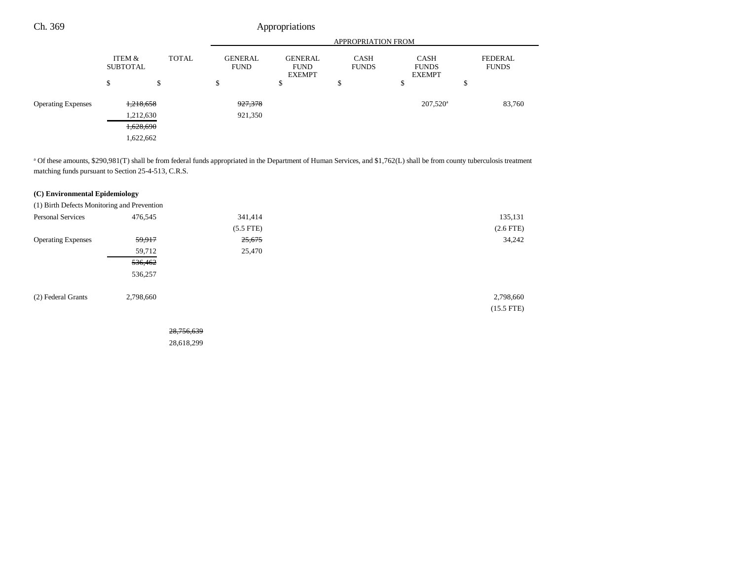| Ch. 369                   |                           |              |                               | Appropriations                                 |                             |                                              |                                |
|---------------------------|---------------------------|--------------|-------------------------------|------------------------------------------------|-----------------------------|----------------------------------------------|--------------------------------|
|                           |                           |              |                               |                                                | APPROPRIATION FROM          |                                              |                                |
|                           | ITEM &<br><b>SUBTOTAL</b> | <b>TOTAL</b> | <b>GENERAL</b><br><b>FUND</b> | <b>GENERAL</b><br><b>FUND</b><br><b>EXEMPT</b> | <b>CASH</b><br><b>FUNDS</b> | <b>CASH</b><br><b>FUNDS</b><br><b>EXEMPT</b> | <b>FEDERAL</b><br><b>FUNDS</b> |
|                           | \$                        | \$           | \$                            | \$                                             | \$                          | \$                                           | \$                             |
| <b>Operating Expenses</b> |                           | 1,218,658    | 927,378                       |                                                |                             | $207,520^{\circ}$                            | 83,760                         |
|                           |                           | 1,212,630    | 921,350                       |                                                |                             |                                              |                                |
|                           |                           | 1,628,690    |                               |                                                |                             |                                              |                                |
|                           |                           | 1,622,662    |                               |                                                |                             |                                              |                                |

<sup>a</sup> Of these amounts, \$290,981(T) shall be from federal funds appropriated in the Department of Human Services, and \$1,762(L) shall be from county tuberculosis treatment matching funds pursuant to Section 25-4-513, C.R.S.

# **(C) Environmental Epidemiology**

(1) Birth Defects Monitoring and Prevention Personal Services 476,545 341,414 135,131 (5.5 FTE) (2.6 FTE) Operating Expenses 59,917 34,242 59,712 25,470

536,462 536,257

| (2) Federal Grants | 2.798.660 | 2.798.660 |
|--------------------|-----------|-----------|

(15.5 FTE)

28,756,639 28,618,299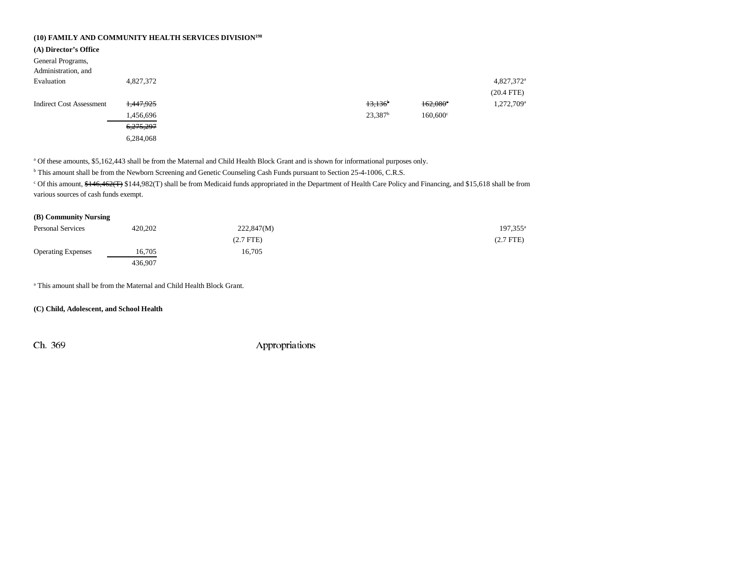# **(10) FAMILY AND COMMUNITY HEALTH SERVICES DIVISION198**

| (A) Director's Office           |           |  |                       |                   |                        |
|---------------------------------|-----------|--|-----------------------|-------------------|------------------------|
| General Programs,               |           |  |                       |                   |                        |
| Administration, and             |           |  |                       |                   |                        |
| Evaluation                      | 4,827,372 |  |                       |                   | 4,827,372 <sup>a</sup> |
|                                 |           |  |                       |                   | $(20.4$ FTE)           |
| <b>Indirect Cost Assessment</b> | 1,447,925 |  | $13,136$ <sup>b</sup> | 162,080°          | 1,272,709 <sup>a</sup> |
|                                 | 1,456,696 |  | $23,387$ <sup>b</sup> | $160,600^{\circ}$ |                        |
|                                 | 6,275,297 |  |                       |                   |                        |
|                                 | 6,284,068 |  |                       |                   |                        |
|                                 |           |  |                       |                   |                        |

a Of these amounts, \$5,162,443 shall be from the Maternal and Child Health Block Grant and is shown for informational purposes only.

<sup>b</sup> This amount shall be from the Newborn Screening and Genetic Counseling Cash Funds pursuant to Section 25-4-1006, C.R.S.

<sup>c</sup> Of this amount, \$146,462(T) \$144,982(T) shall be from Medicaid funds appropriated in the Department of Health Care Policy and Financing, and \$15,618 shall be from various sources of cash funds exempt.

# **(B) Community Nursing**

| <b>Personal Services</b>  | 420,202 | 222,847(M)  | 197,355 <sup>a</sup> |
|---------------------------|---------|-------------|----------------------|
|                           |         | $(2.7$ FTE) | $(2.7$ FTE $)$       |
| <b>Operating Expenses</b> | 16,705  | 16,705      |                      |
|                           | 436,907 |             |                      |

a This amount shall be from the Maternal and Child Health Block Grant.

**(C) Child, Adolescent, and School Health**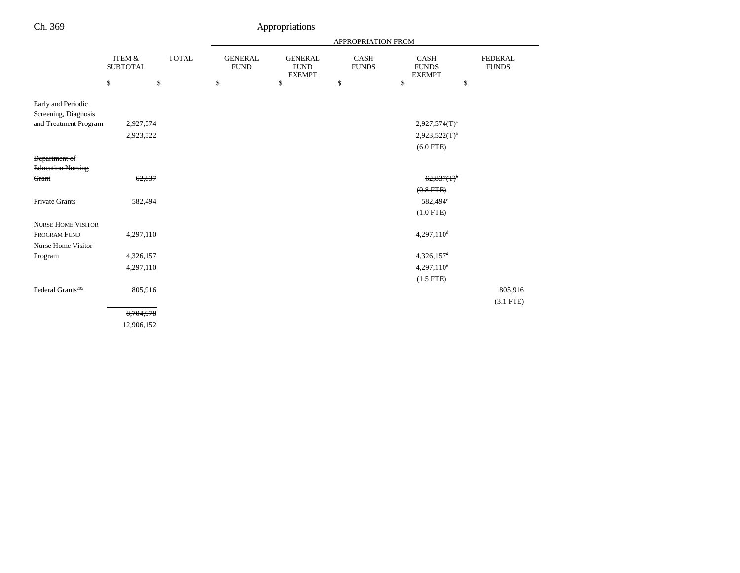|                                            |                                      |              | APPROPRIATION FROM            |                                                |                             |                                              |                                |
|--------------------------------------------|--------------------------------------|--------------|-------------------------------|------------------------------------------------|-----------------------------|----------------------------------------------|--------------------------------|
|                                            | <b>ITEM &amp;</b><br><b>SUBTOTAL</b> | <b>TOTAL</b> | <b>GENERAL</b><br><b>FUND</b> | <b>GENERAL</b><br><b>FUND</b><br><b>EXEMPT</b> | <b>CASH</b><br><b>FUNDS</b> | <b>CASH</b><br><b>FUNDS</b><br><b>EXEMPT</b> | <b>FEDERAL</b><br><b>FUNDS</b> |
|                                            | \$<br>\$                             |              | \$                            | \$                                             | \$                          | \$                                           | \$                             |
| Early and Periodic<br>Screening, Diagnosis |                                      |              |                               |                                                |                             |                                              |                                |
| and Treatment Program                      | 2,927,574                            |              |                               |                                                |                             | $2,927,574(T)^{a}$                           |                                |
|                                            | 2,923,522                            |              |                               |                                                |                             | $2,923,522(T)^a$                             |                                |
|                                            |                                      |              |                               |                                                |                             | $(6.0$ FTE)                                  |                                |
| Department of                              |                                      |              |                               |                                                |                             |                                              |                                |
| <b>Education Nursing</b>                   |                                      |              |                               |                                                |                             |                                              |                                |
| Grant                                      | 62,837                               |              |                               |                                                |                             | $62,837(T)$ <sup>b</sup>                     |                                |
|                                            |                                      |              |                               |                                                |                             | $(0.8$ FTE)                                  |                                |
| Private Grants                             | 582,494                              |              |                               |                                                |                             | 582,494°                                     |                                |
|                                            |                                      |              |                               |                                                |                             | $(1.0$ FTE)                                  |                                |
| <b>NURSE HOME VISITOR</b>                  |                                      |              |                               |                                                |                             |                                              |                                |
| PROGRAM FUND                               | 4,297,110                            |              |                               |                                                |                             | $4,297,110$ <sup>d</sup>                     |                                |
| <b>Nurse Home Visitor</b>                  |                                      |              |                               |                                                |                             |                                              |                                |
| Program                                    | 4,326,157                            |              |                               |                                                |                             | $4,326,157$ <sup>d</sup>                     |                                |
|                                            | 4,297,110                            |              |                               |                                                |                             | $4,297,110^e$                                |                                |
|                                            |                                      |              |                               |                                                |                             | $(1.5$ FTE)                                  |                                |
| Federal Grants <sup>205</sup>              | 805,916                              |              |                               |                                                |                             |                                              | 805,916                        |
|                                            |                                      |              |                               |                                                |                             |                                              | $(3.1$ FTE)                    |
|                                            | 8,704,978                            |              |                               |                                                |                             |                                              |                                |
|                                            | 12,906,152                           |              |                               |                                                |                             |                                              |                                |
|                                            |                                      |              |                               |                                                |                             |                                              |                                |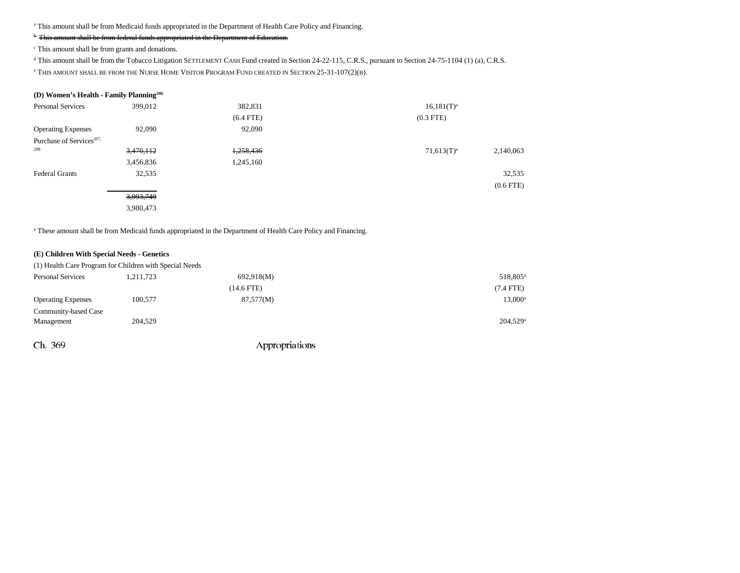a This amount shall be from Medicaid funds appropriated in the Department of Health Care Policy and Financing.

# <sup>b</sup> This amount shall be from federal funds appropriated in the Department of Education.

c This amount shall be from grants and donations.

d This amount shall be from the Tobacco Litigation SETTLEMENT CASH Fund created in Section 24-22-115, C.R.S., pursuant to Section 24-75-1104 (1) (a), C.R.S.

 $\rm{e}$  This amount shall be from the Nurse Home Visitor Program Fund created in Section 25-31-107(2)(b).

# **(D) Women's Health - Family Planning206**

| <b>Personal Services</b>             | 399,012   | 382,831     | $16,181(T)^{a}$            |
|--------------------------------------|-----------|-------------|----------------------------|
|                                      |           | $(6.4$ FTE) | $(0.3$ FTE)                |
| <b>Operating Expenses</b>            | 92,090    | 92,090      |                            |
| Purchase of Services <sup>207,</sup> |           |             |                            |
| 208                                  | 3,470,112 | 1,258,436   | $71,613(T)^a$<br>2,140,063 |
|                                      | 3,456,836 | 1,245,160   |                            |
| <b>Federal Grants</b>                | 32,535    |             | 32,535                     |
|                                      |           |             | $(0.6$ FTE $)$             |
|                                      | 3,993,749 |             |                            |
|                                      | 3,980,473 |             |                            |

a These amount shall be from Medicaid funds appropriated in the Department of Health Care Policy and Financing.

### **(E) Children With Special Needs - Genetics**

|                           | (1) Health Care Program for Children with Special Needs |              |                        |
|---------------------------|---------------------------------------------------------|--------------|------------------------|
| <b>Personal Services</b>  | 1.211.723                                               | 692,918(M)   | 518,805 <sup>a</sup>   |
|                           |                                                         | $(14.6$ FTE) | (7.4 FTE)              |
| <b>Operating Expenses</b> | 100.577                                                 | 87,577(M)    | $13,000^{\circ}$       |
| Community-based Case      |                                                         |              |                        |
| Management                | 204,529                                                 |              | $204,529$ <sup>a</sup> |
|                           |                                                         |              |                        |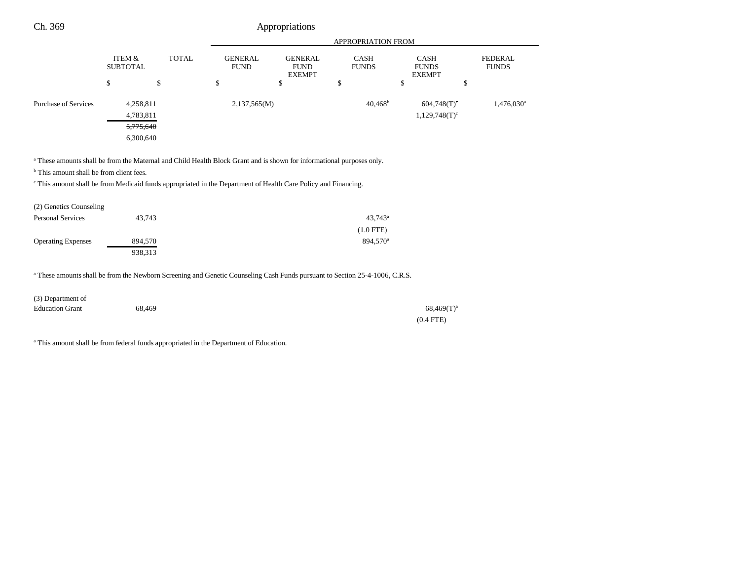| Ch. 369                     |                           |              |                               | Appropriations                                 |                             |                                              |                                |
|-----------------------------|---------------------------|--------------|-------------------------------|------------------------------------------------|-----------------------------|----------------------------------------------|--------------------------------|
|                             |                           |              |                               |                                                | <b>APPROPRIATION FROM</b>   |                                              |                                |
|                             | ITEM &<br><b>SUBTOTAL</b> | <b>TOTAL</b> | <b>GENERAL</b><br><b>FUND</b> | <b>GENERAL</b><br><b>FUND</b><br><b>EXEMPT</b> | <b>CASH</b><br><b>FUNDS</b> | <b>CASH</b><br><b>FUNDS</b><br><b>EXEMPT</b> | <b>FEDERAL</b><br><b>FUNDS</b> |
|                             | S                         | \$           | \$                            | \$                                             | ď<br>Φ                      | Φ                                            | \$                             |
| <b>Purchase of Services</b> | 4,258,811                 |              | 2,137,565(M)                  |                                                | $40,468^{\rm b}$            | 604,748(T)                                   | 1,476,030 <sup>a</sup>         |
|                             | 4,783,811                 |              |                               |                                                |                             | $1,129,748(T)^c$                             |                                |
|                             | 5,775,640                 |              |                               |                                                |                             |                                              |                                |
|                             | 6,300,640                 |              |                               |                                                |                             |                                              |                                |

<sup>a</sup> These amounts shall be from the Maternal and Child Health Block Grant and is shown for informational purposes only.

<sup>b</sup> This amount shall be from client fees.

c This amount shall be from Medicaid funds appropriated in the Department of Health Care Policy and Financing.

| (2) Genetics Counseling   |         |                      |
|---------------------------|---------|----------------------|
| <b>Personal Services</b>  | 43.743  | $43.743^{\circ}$     |
|                           |         | $(1.0$ FTE)          |
| <b>Operating Expenses</b> | 894,570 | 894.570 <sup>a</sup> |
|                           | 938,313 |                      |

a These amounts shall be from the Newborn Screening and Genetic Counseling Cash Funds pursuant to Section 25-4-1006, C.R.S.

| (3) Department of      |        |                 |
|------------------------|--------|-----------------|
| <b>Education Grant</b> | 68,469 | $68,469(T)^{a}$ |
|                        |        | $(0.4$ FTE)     |

<sup>a</sup> This amount shall be from federal funds appropriated in the Department of Education.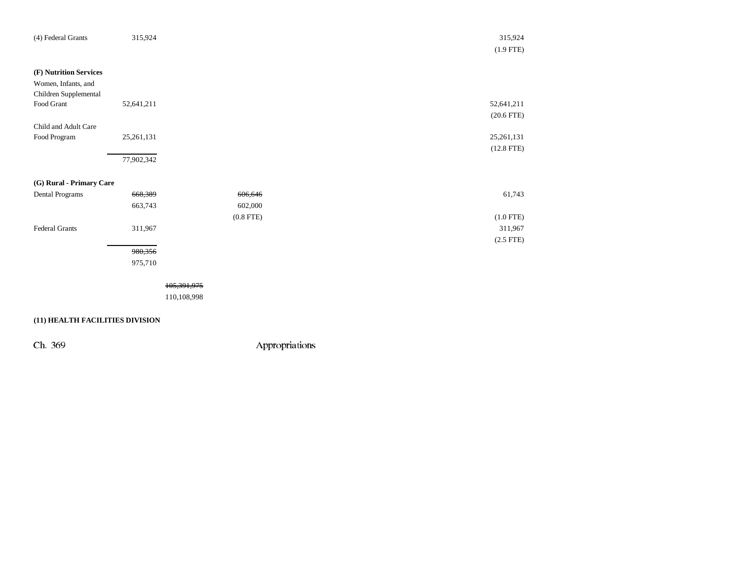| (4) Federal Grants       | 315,924    |             | 315,924         |
|--------------------------|------------|-------------|-----------------|
|                          |            |             | $(1.9$ FTE)     |
|                          |            |             |                 |
| (F) Nutrition Services   |            |             |                 |
| Women, Infants, and      |            |             |                 |
| Children Supplemental    |            |             |                 |
| Food Grant               | 52,641,211 |             | 52,641,211      |
|                          |            |             | $(20.6$ FTE $)$ |
| Child and Adult Care     |            |             |                 |
| Food Program             | 25,261,131 |             | 25, 261, 131    |
|                          |            |             | $(12.8$ FTE)    |
|                          | 77,902,342 |             |                 |
|                          |            |             |                 |
| (G) Rural - Primary Care |            |             |                 |
| Dental Programs          | 668,389    | 606,646     | 61,743          |
|                          | 663,743    | 602,000     |                 |
|                          |            | $(0.8$ FTE) | $(1.0$ FTE)     |
| Federal Grants           | 311,967    |             | 311,967         |
|                          |            |             | $(2.5$ FTE)     |
|                          | 980,356    |             |                 |
|                          | 975,710    |             |                 |
|                          |            |             |                 |
|                          |            | 105,391,975 |                 |
|                          |            |             |                 |

**(11) HEALTH FACILITIES DIVISION**

110,108,998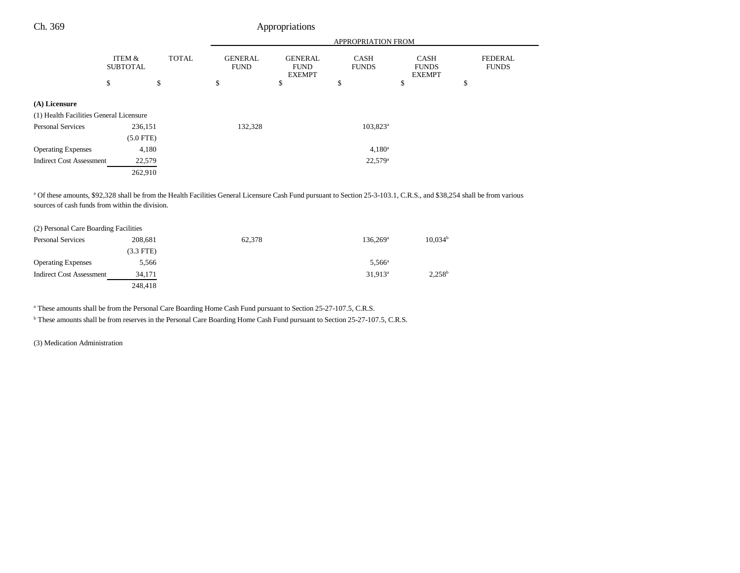| Ch. 369                                 |                           |              |                               | Appropriations                                 |                             |                                              |                                |
|-----------------------------------------|---------------------------|--------------|-------------------------------|------------------------------------------------|-----------------------------|----------------------------------------------|--------------------------------|
|                                         |                           |              |                               |                                                | APPROPRIATION FROM          |                                              |                                |
|                                         | ITEM &<br><b>SUBTOTAL</b> | <b>TOTAL</b> | <b>GENERAL</b><br><b>FUND</b> | <b>GENERAL</b><br><b>FUND</b><br><b>EXEMPT</b> | <b>CASH</b><br><b>FUNDS</b> | <b>CASH</b><br><b>FUNDS</b><br><b>EXEMPT</b> | <b>FEDERAL</b><br><b>FUNDS</b> |
|                                         | \$                        | \$           | \$                            | \$                                             | \$                          | \$                                           | \$                             |
| (A) Licensure                           |                           |              |                               |                                                |                             |                                              |                                |
| (1) Health Facilities General Licensure |                           |              |                               |                                                |                             |                                              |                                |
| Personal Services                       | 236,151                   |              | 132,328                       |                                                | $103,823^{\rm a}$           |                                              |                                |
|                                         | $(5.0$ FTE)               |              |                               |                                                |                             |                                              |                                |
| <b>Operating Expenses</b>               | 4,180                     |              |                               |                                                | $4,180^a$                   |                                              |                                |
| <b>Indirect Cost Assessment</b>         | 22,579                    |              |                               |                                                | $22,579^{\circ}$            |                                              |                                |
|                                         | 262,910                   |              |                               |                                                |                             |                                              |                                |
|                                         |                           |              |                               |                                                |                             |                                              |                                |

<sup>a</sup> Of these amounts, \$92,328 shall be from the Health Facilities General Licensure Cash Fund pursuant to Section 25-3-103.1, C.R.S., and \$38,254 shall be from various sources of cash funds from within the division.

| (2) Personal Care Boarding Facilities |             |        |                   |                     |
|---------------------------------------|-------------|--------|-------------------|---------------------|
| <b>Personal Services</b>              | 208,681     | 62,378 | $136.269^{\circ}$ | 10,034 <sup>b</sup> |
|                                       | $(3.3$ FTE) |        |                   |                     |
| <b>Operating Expenses</b>             | 5,566       |        | $5,566^{\circ}$   |                     |
| <b>Indirect Cost Assessment</b>       | 34.171      |        | $31,913^a$        | $2,258^b$           |
|                                       | 248.418     |        |                   |                     |

<sup>a</sup> These amounts shall be from the Personal Care Boarding Home Cash Fund pursuant to Section 25-27-107.5, C.R.S.

b These amounts shall be from reserves in the Personal Care Boarding Home Cash Fund pursuant to Section 25-27-107.5, C.R.S.

(3) Medication Administration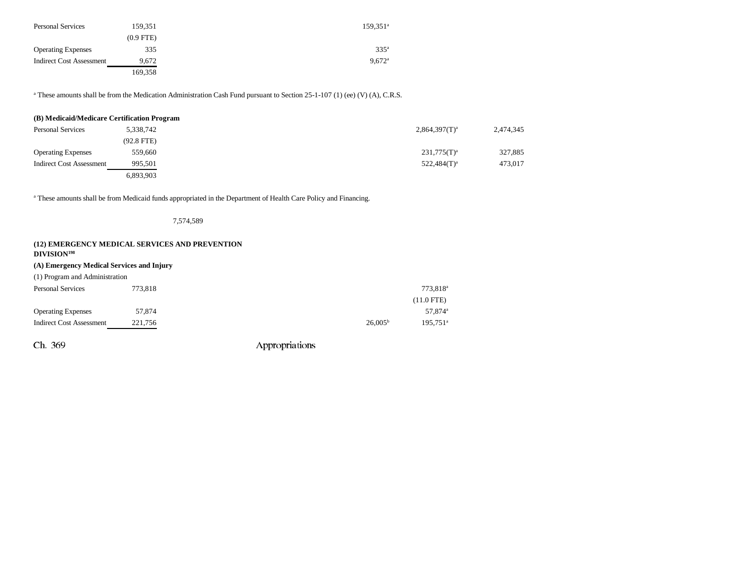| <b>Personal Services</b>        | 159.351     | $159.351^{\circ}$    |
|---------------------------------|-------------|----------------------|
|                                 | $(0.9$ FTE) |                      |
| <b>Operating Expenses</b>       | 335         | 335 <sup>a</sup>     |
| <b>Indirect Cost Assessment</b> | 9,672       | $9.672$ <sup>a</sup> |
|                                 | 169.358     |                      |

<sup>a</sup> These amounts shall be from the Medication Administration Cash Fund pursuant to Section 25-1-107 (1) (ee) (V) (A), C.R.S.

| (B) Medicaid/Medicare Certification Program |              |                    |           |
|---------------------------------------------|--------------|--------------------|-----------|
| <b>Personal Services</b>                    | 5,338,742    | $2,864,397(T)^{a}$ | 2,474,345 |
|                                             | $(92.8$ FTE) |                    |           |
| <b>Operating Expenses</b>                   | 559,660      | $231,775(T)^{a}$   | 327,885   |
| <b>Indirect Cost Assessment</b>             | 995.501      | $522,484(T)^a$     | 473,017   |
|                                             | 6,893,903    |                    |           |

<sup>a</sup> These amounts shall be from Medicaid funds appropriated in the Department of Health Care Policy and Financing.

7,574,589

| (12) EMERGENCY MEDICAL SERVICES AND PREVENTION<br>DIVISION <sup>198</sup> |         |                     |                      |
|---------------------------------------------------------------------------|---------|---------------------|----------------------|
| (A) Emergency Medical Services and Injury                                 |         |                     |                      |
| (1) Program and Administration                                            |         |                     |                      |
| Personal Services                                                         | 773.818 |                     | 773.818 <sup>a</sup> |
|                                                                           |         |                     | $(11.0$ FTE)         |
| <b>Operating Expenses</b>                                                 | 57,874  |                     | 57,874 <sup>a</sup>  |
| <b>Indirect Cost Assessment</b>                                           | 221,756 | 26.005 <sup>b</sup> | 195.751 <sup>a</sup> |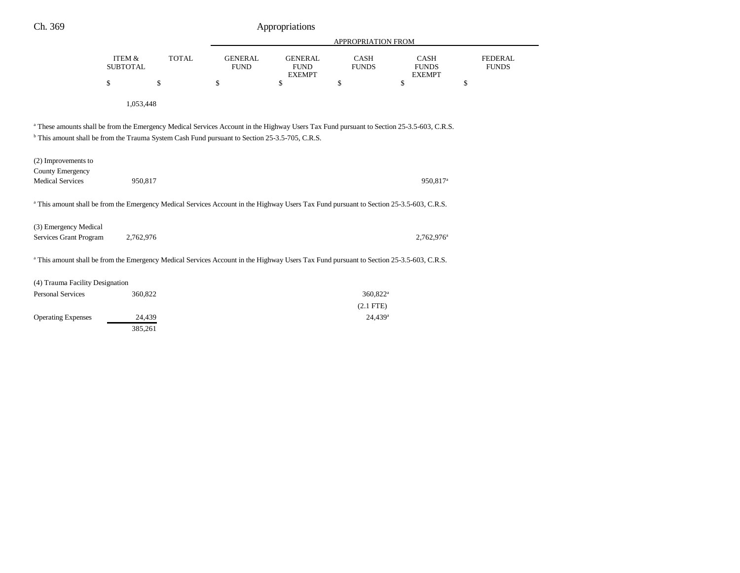| Ch. 369                                                                                                                                            |                           |              | Appropriations                |                                                |                      |                                                                                                                                                      |                                |
|----------------------------------------------------------------------------------------------------------------------------------------------------|---------------------------|--------------|-------------------------------|------------------------------------------------|----------------------|------------------------------------------------------------------------------------------------------------------------------------------------------|--------------------------------|
|                                                                                                                                                    |                           |              |                               |                                                | APPROPRIATION FROM   |                                                                                                                                                      |                                |
|                                                                                                                                                    | ITEM &<br><b>SUBTOTAL</b> | <b>TOTAL</b> | <b>GENERAL</b><br><b>FUND</b> | <b>GENERAL</b><br><b>FUND</b><br><b>EXEMPT</b> | CASH<br><b>FUNDS</b> | CASH<br><b>FUNDS</b><br><b>EXEMPT</b>                                                                                                                | <b>FEDERAL</b><br><b>FUNDS</b> |
|                                                                                                                                                    | \$                        | \$           | \$                            | \$                                             | \$                   | \$                                                                                                                                                   | \$                             |
|                                                                                                                                                    | 1,053,448                 |              |                               |                                                |                      |                                                                                                                                                      |                                |
| <sup>b</sup> This amount shall be from the Trauma System Cash Fund pursuant to Section 25-3.5-705, C.R.S.                                          |                           |              |                               |                                                |                      | <sup>a</sup> These amounts shall be from the Emergency Medical Services Account in the Highway Users Tax Fund pursuant to Section 25-3.5-603, C.R.S. |                                |
| (2) Improvements to<br><b>County Emergency</b>                                                                                                     |                           |              |                               |                                                |                      |                                                                                                                                                      |                                |
| <b>Medical Services</b>                                                                                                                            | 950,817                   |              |                               |                                                |                      | 950,817 <sup>a</sup>                                                                                                                                 |                                |
| <sup>a</sup> This amount shall be from the Emergency Medical Services Account in the Highway Users Tax Fund pursuant to Section 25-3.5-603, C.R.S. |                           |              |                               |                                                |                      |                                                                                                                                                      |                                |
| (3) Emergency Medical<br>Services Grant Program                                                                                                    | 2,762,976                 |              |                               |                                                |                      | $2,762,976^{\circ}$                                                                                                                                  |                                |
| <sup>a</sup> This amount shall be from the Emergency Medical Services Account in the Highway Users Tax Fund pursuant to Section 25-3.5-603, C.R.S. |                           |              |                               |                                                |                      |                                                                                                                                                      |                                |
| (4) Trauma Facility Designation                                                                                                                    |                           |              |                               |                                                |                      |                                                                                                                                                      |                                |
| <b>Personal Services</b>                                                                                                                           | 360,822                   |              |                               |                                                | 360,822 <sup>a</sup> |                                                                                                                                                      |                                |
|                                                                                                                                                    |                           |              |                               |                                                | $(2.1$ FTE)          |                                                                                                                                                      |                                |
| <b>Operating Expenses</b>                                                                                                                          | 24,439<br>385,261         |              |                               |                                                | 24,439 <sup>a</sup>  |                                                                                                                                                      |                                |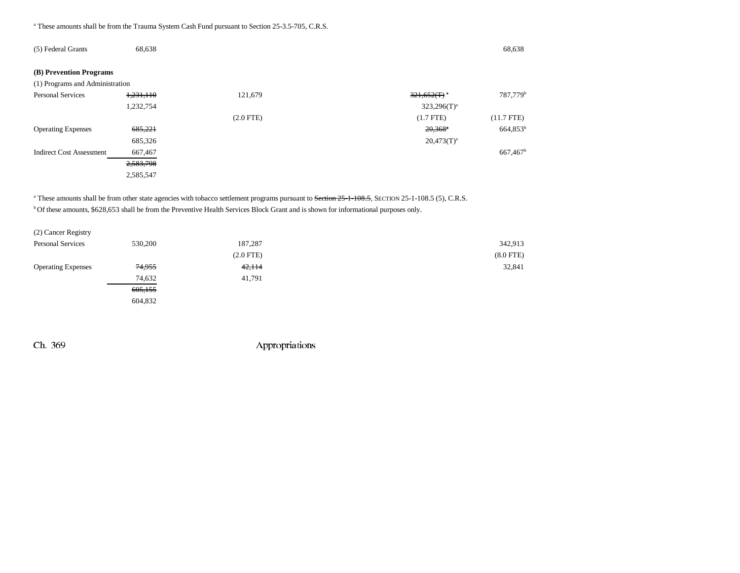<sup>a</sup> These amounts shall be from the Trauma System Cash Fund pursuant to Section 25-3.5-705, C.R.S.

| (5) Federal Grants              | 68,638    |             |                       | 68,638                 |
|---------------------------------|-----------|-------------|-----------------------|------------------------|
| (B) Prevention Programs         |           |             |                       |                        |
| (1) Programs and Administration |           |             |                       |                        |
| <b>Personal Services</b>        | 1,231,110 | 121,679     | 321,652(T)            | 787,779 <sup>b</sup>   |
|                                 | 1,232,754 |             | $323,296(T)^a$        |                        |
|                                 |           | $(2.0$ FTE) | $(1.7$ FTE)           | $(11.7$ FTE)           |
| <b>Operating Expenses</b>       | 685,221   |             | $20,368$ <sup>*</sup> | 664,853 <sup>b</sup>   |
|                                 | 685,326   |             | $20,473(T)^a$         |                        |
| <b>Indirect Cost Assessment</b> | 667,467   |             |                       | $667,467$ <sup>b</sup> |
|                                 | 2,583,798 |             |                       |                        |
|                                 | 2,585,547 |             |                       |                        |

<sup>a</sup> These amounts shall be from other state agencies with tobacco settlement programs pursuant to <del>Section 25-1-108.5</del>, SECTION 25-1-108.5 (5), C.R.S. b Of these amounts, \$628,653 shall be from the Preventive Health Services Block Grant and is shown for informational purposes only.

| (2) Cancer Registry       |         |             |             |
|---------------------------|---------|-------------|-------------|
| <b>Personal Services</b>  | 530,200 | 187,287     | 342,913     |
|                           |         | $(2.0$ FTE) | $(8.0$ FTE) |
| <b>Operating Expenses</b> | 74,955  | 42,114      | 32,841      |
|                           | 74,632  | 41,791      |             |
|                           | 605,155 |             |             |
|                           | 604,832 |             |             |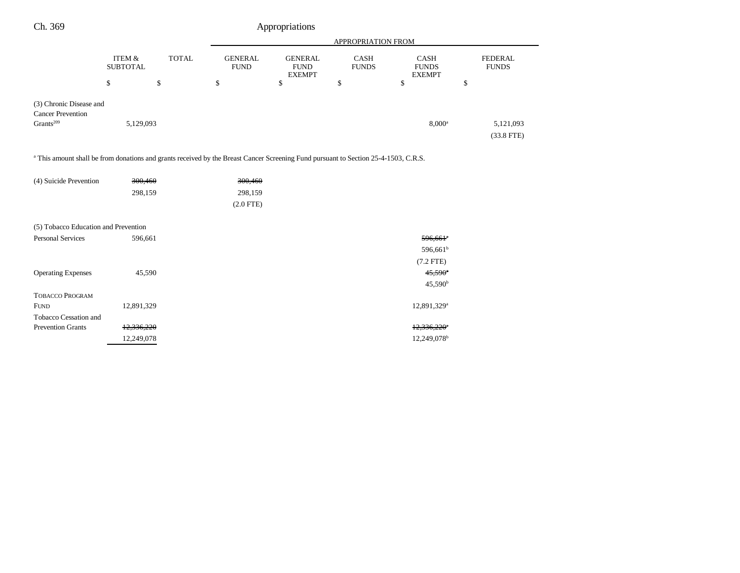| Ch. 369                                                                                                                                        |                           | Appropriations |                               |                                                |                      |                                              |                                |
|------------------------------------------------------------------------------------------------------------------------------------------------|---------------------------|----------------|-------------------------------|------------------------------------------------|----------------------|----------------------------------------------|--------------------------------|
|                                                                                                                                                |                           |                | APPROPRIATION FROM            |                                                |                      |                                              |                                |
|                                                                                                                                                | ITEM &<br><b>SUBTOTAL</b> | <b>TOTAL</b>   | <b>GENERAL</b><br><b>FUND</b> | <b>GENERAL</b><br><b>FUND</b><br><b>EXEMPT</b> | CASH<br><b>FUNDS</b> | <b>CASH</b><br><b>FUNDS</b><br><b>EXEMPT</b> | <b>FEDERAL</b><br><b>FUNDS</b> |
|                                                                                                                                                | \$                        | \$             | \$                            | $\mathbb{S}$                                   | \$                   | \$                                           | \$                             |
| (3) Chronic Disease and<br><b>Cancer Prevention</b>                                                                                            |                           |                |                               |                                                |                      |                                              |                                |
| Grants <sup>209</sup>                                                                                                                          | 5,129,093                 |                |                               |                                                |                      | $8,000^{\rm a}$                              | 5,121,093<br>$(33.8$ FTE $)$   |
| <sup>a</sup> This amount shall be from donations and grants received by the Breast Cancer Screening Fund pursuant to Section 25-4-1503, C.R.S. |                           |                |                               |                                                |                      |                                              |                                |
| (4) Suicide Prevention                                                                                                                         | 300,460                   |                | 300,460                       |                                                |                      |                                              |                                |
|                                                                                                                                                | 298,159                   |                | 298,159                       |                                                |                      |                                              |                                |
|                                                                                                                                                |                           |                | $(2.0$ FTE)                   |                                                |                      |                                              |                                |
| (5) Tobacco Education and Prevention                                                                                                           |                           |                |                               |                                                |                      |                                              |                                |
| <b>Personal Services</b>                                                                                                                       | 596,661                   |                |                               |                                                |                      | $596,661$ <sup>*</sup>                       |                                |
|                                                                                                                                                |                           |                |                               |                                                |                      | 596,661 <sup>b</sup>                         |                                |
|                                                                                                                                                |                           |                |                               |                                                |                      | $(7.2$ FTE)                                  |                                |
| <b>Operating Expenses</b>                                                                                                                      | 45,590                    |                |                               |                                                |                      | $45,590^{\circ}$                             |                                |
|                                                                                                                                                |                           |                |                               |                                                |                      | $45,590^{\rm b}$                             |                                |
| <b>TOBACCO PROGRAM</b>                                                                                                                         |                           |                |                               |                                                |                      |                                              |                                |
| <b>FUND</b>                                                                                                                                    | 12,891,329                |                |                               |                                                |                      | 12,891,329 <sup>a</sup>                      |                                |
| Tobacco Cessation and                                                                                                                          |                           |                |                               |                                                |                      |                                              |                                |
| <b>Prevention Grants</b>                                                                                                                       | 12,336,220                |                |                               |                                                |                      | $12,336,220$ <sup>a</sup>                    |                                |
|                                                                                                                                                | 12,249,078                |                |                               |                                                |                      | 12,249,078 <sup>b</sup>                      |                                |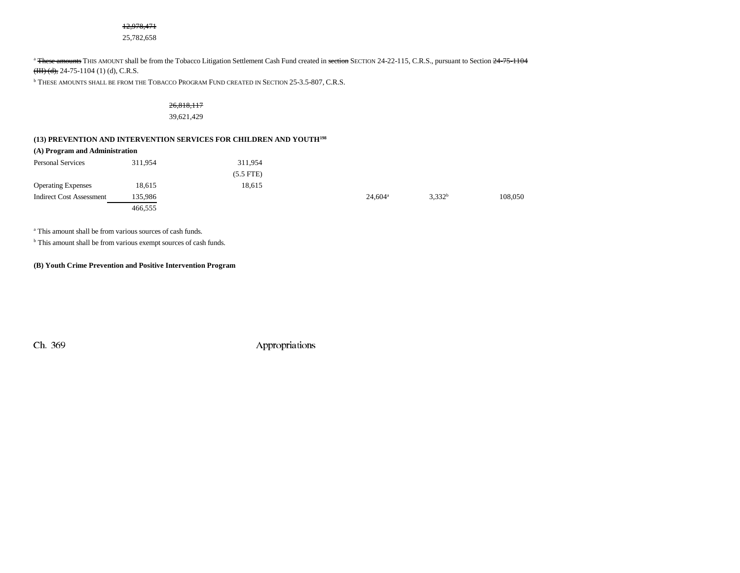# 12,978,471

25,782,658

#### <sup>a</sup> <del>These amounts</del> THIS AMOUNT shall be from the Tobacco Litigation Settlement Cash Fund created in <del>section</del> SECTION 24-22-115, C.R.S., pursuant to Section <del>24-75-1104</del>

 $(HH)(d)$ , 24-75-1104 (1) (d), C.R.S.

 $^{\rm b}$  These amounts shall be from the Tobacco Program Fund created in Section 25-3.5-807, C.R.S.

# 26,818,117

### 39,621,429

# **(13) PREVENTION AND INTERVENTION SERVICES FOR CHILDREN AND YOUTH198**

#### **(A) Program and Administration**

| <b>Personal Services</b>        | 311.954 | 311.954     |                  |                    |         |
|---------------------------------|---------|-------------|------------------|--------------------|---------|
|                                 |         | $(5.5$ FTE) |                  |                    |         |
| <b>Operating Expenses</b>       | 18,615  | 18,615      |                  |                    |         |
| <b>Indirect Cost Assessment</b> | 135.986 |             | $24,604^{\circ}$ | 3,332 <sup>b</sup> | 108,050 |
|                                 | 466.555 |             |                  |                    |         |

<sup>a</sup> This amount shall be from various sources of cash funds.

<sup>b</sup> This amount shall be from various exempt sources of cash funds.

# **(B) Youth Crime Prevention and Positive Intervention Program**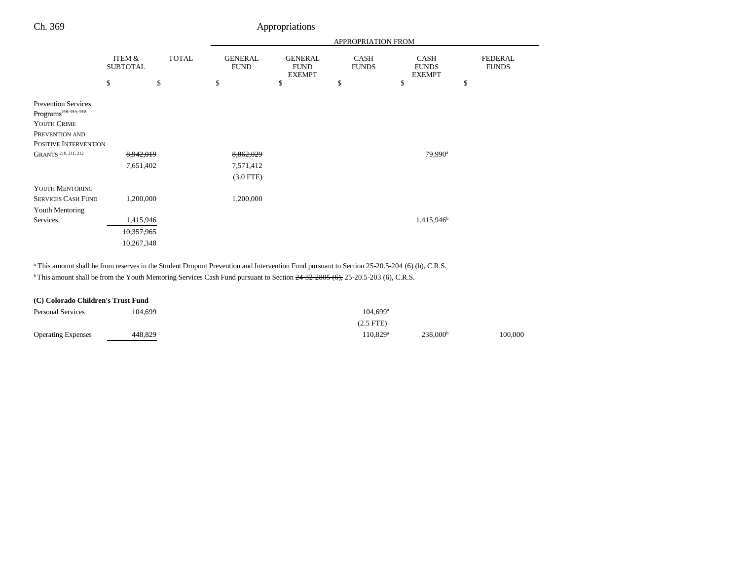| Ch. 369                                                                        |                           |              |                               | Appropriations                                 |                             |                                       |                                |
|--------------------------------------------------------------------------------|---------------------------|--------------|-------------------------------|------------------------------------------------|-----------------------------|---------------------------------------|--------------------------------|
|                                                                                |                           |              | APPROPRIATION FROM            |                                                |                             |                                       |                                |
|                                                                                | ITEM &<br><b>SUBTOTAL</b> | <b>TOTAL</b> | <b>GENERAL</b><br><b>FUND</b> | <b>GENERAL</b><br><b>FUND</b><br><b>EXEMPT</b> | <b>CASH</b><br><b>FUNDS</b> | CASH<br><b>FUNDS</b><br><b>EXEMPT</b> | <b>FEDERAL</b><br><b>FUNDS</b> |
|                                                                                | \$                        | \$           | \$                            | \$                                             | \$                          | \$                                    | \$                             |
| <b>Prevention Services</b><br>Programs <sup>210, 211, 212</sup><br>YOUTH CRIME |                           |              |                               |                                                |                             |                                       |                                |
| PREVENTION AND                                                                 |                           |              |                               |                                                |                             |                                       |                                |
| POSITIVE INTERVENTION                                                          |                           |              |                               |                                                |                             |                                       |                                |
| GRANTS <sup>210, 211, 212</sup>                                                | 8,942,019                 |              | 8,862,029                     |                                                |                             | 79,990 <sup>a</sup>                   |                                |
|                                                                                | 7,651,402                 |              | 7,571,412                     |                                                |                             |                                       |                                |
|                                                                                |                           |              | $(3.0$ FTE)                   |                                                |                             |                                       |                                |
| YOUTH MENTORING                                                                |                           |              |                               |                                                |                             |                                       |                                |
| <b>SERVICES CASH FUND</b>                                                      | 1,200,000                 |              | 1,200,000                     |                                                |                             |                                       |                                |
| Youth Mentoring                                                                |                           |              |                               |                                                |                             |                                       |                                |
| Services                                                                       | 1,415,946                 |              |                               |                                                |                             | 1,415,946 <sup>b</sup>                |                                |
|                                                                                | 10,357,965                |              |                               |                                                |                             |                                       |                                |
|                                                                                | 10,267,348                |              |                               |                                                |                             |                                       |                                |

<sup>a</sup> This amount shall be from reserves in the Student Dropout Prevention and Intervention Fund pursuant to Section 25-20.5-204 (6) (b), C.R.S.

<sup>b</sup> This amount shall be from the Youth Mentoring Services Cash Fund pursuant to Section 24-32-2805 (6), 25-20.5-203 (6), C.R.S.

| (C) Colorado Children's Trust Fund |         |                        |                      |         |
|------------------------------------|---------|------------------------|----------------------|---------|
| Personal Services                  | 104.699 | $104.699$ <sup>a</sup> |                      |         |
|                                    |         | $(2.5$ FTE $)$         |                      |         |
| <b>Operating Expenses</b>          | 448,829 | $110.829^{\rm a}$      | 238,000 <sup>b</sup> | 100.000 |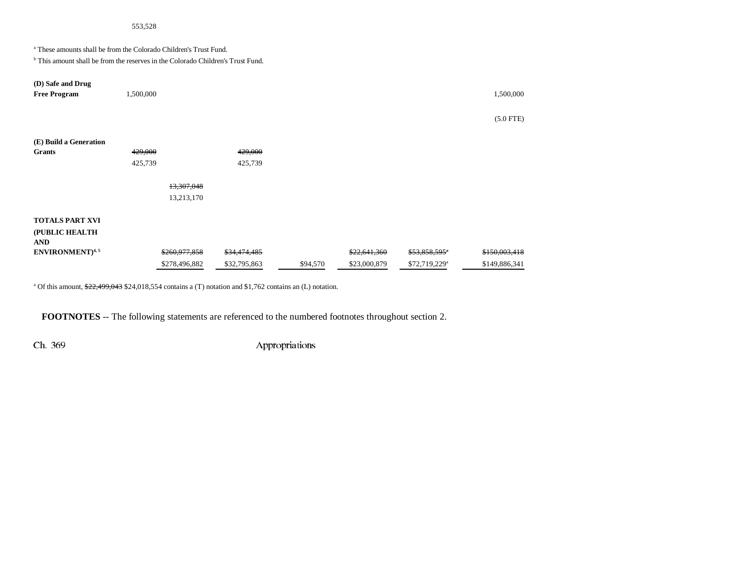# 553,528

a These amounts shall be from the Colorado Children's Trust Fund.

<sup>b</sup> This amount shall be from the reserves in the Colorado Children's Trust Fund.

| (D) Safe and Drug          |           |               |              |          |              |                           |               |
|----------------------------|-----------|---------------|--------------|----------|--------------|---------------------------|---------------|
| <b>Free Program</b>        | 1,500,000 |               |              |          |              |                           | 1,500,000     |
|                            |           |               |              |          |              |                           |               |
|                            |           |               |              |          |              |                           | $(5.0$ FTE)   |
|                            |           |               |              |          |              |                           |               |
| (E) Build a Generation     |           |               |              |          |              |                           |               |
|                            |           |               |              |          |              |                           |               |
| <b>Grants</b>              | 429,000   |               | 429,000      |          |              |                           |               |
|                            | 425,739   |               | 425,739      |          |              |                           |               |
|                            |           |               |              |          |              |                           |               |
|                            |           | 13,307,048    |              |          |              |                           |               |
|                            |           | 13,213,170    |              |          |              |                           |               |
|                            |           |               |              |          |              |                           |               |
| <b>TOTALS PART XVI</b>     |           |               |              |          |              |                           |               |
| (PUBLIC HEALTH             |           |               |              |          |              |                           |               |
| <b>AND</b>                 |           |               |              |          |              |                           |               |
| ENVIRONMENT <sup>4,5</sup> |           | \$260,977,858 | \$34,474,485 |          | \$22,641,360 | \$53,858,595*             | \$150,003,418 |
|                            |           | \$278,496,882 | \$32,795,863 | \$94,570 | \$23,000,879 | \$72,719,229 <sup>a</sup> | \$149,886,341 |

<sup>a</sup> Of this amount, \$22,499,043 \$24,018,554 contains a (T) notation and \$1,762 contains an (L) notation.

**FOOTNOTES** -- The following statements are referenced to the numbered footnotes throughout section 2.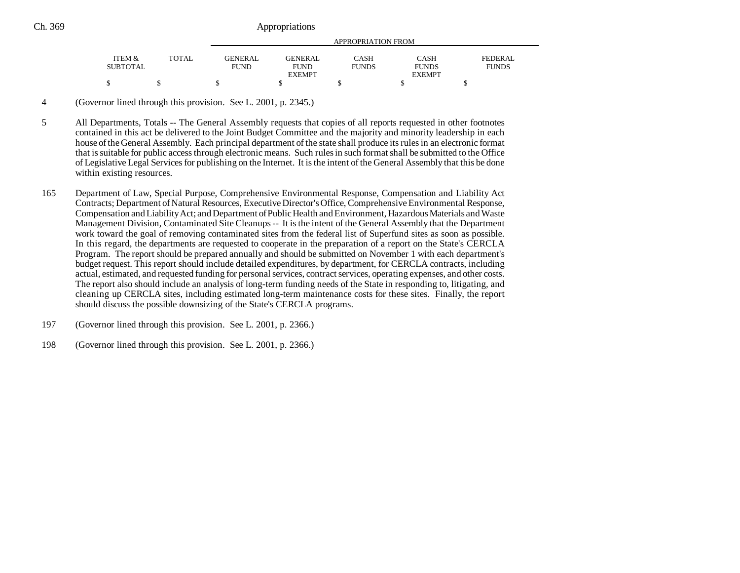|                 |              | APPROPRIATION FROM |               |              |               |              |
|-----------------|--------------|--------------------|---------------|--------------|---------------|--------------|
| ITEM &          | <b>TOTAL</b> | <b>GENERAL</b>     | GENER AL      | CASH         | <b>CASH</b>   | FEDERAL      |
| <b>SUBTOTAL</b> |              | <b>FUND</b>        | <b>FUND</b>   | <b>FUNDS</b> | <b>FUNDS</b>  | <b>FUNDS</b> |
|                 |              |                    | <b>EXEMPT</b> |              | <b>EXEMPT</b> |              |
|                 |              |                    |               |              |               |              |

4 (Governor lined through this provision. See L. 2001, p. 2345.)

5 All Departments, Totals -- The General Assembly requests that copies of all reports requested in other footnotes contained in this act be delivered to the Joint Budget Committee and the majority and minority leadership in each house of the General Assembly. Each principal department of the state shall produce its rules in an electronic format that is suitable for public access through electronic means. Such rules in such format shall be submitted to the Office of Legislative Legal Services for publishing on the Internet. It is the intent of the General Assembly that this be done within existing resources.

- 165 Department of Law, Special Purpose, Comprehensive Environmental Response, Compensation and Liability Act Contracts; Department of Natural Resources, Executive Director's Office, Comprehensive Environmental Response, Compensation and Liability Act; and Department of Public Health and Environment, Hazardous Materials and Waste Management Division, Contaminated Site Cleanups -- It is the intent of the General Assembly that the Department work toward the goal of removing contaminated sites from the federal list of Superfund sites as soon as possible. In this regard, the departments are requested to cooperate in the preparation of a report on the State's CERCLA Program. The report should be prepared annually and should be submitted on November 1 with each department's budget request. This report should include detailed expenditures, by department, for CERCLA contracts, including actual, estimated, and requested funding for personal services, contract services, operating expenses, and other costs. The report also should include an analysis of long-term funding needs of the State in responding to, litigating, and cleaning up CERCLA sites, including estimated long-term maintenance costs for these sites. Finally, the report should discuss the possible downsizing of the State's CERCLA programs.
- 197 (Governor lined through this provision. See L. 2001, p. 2366.)
- 198 (Governor lined through this provision. See L. 2001, p. 2366.)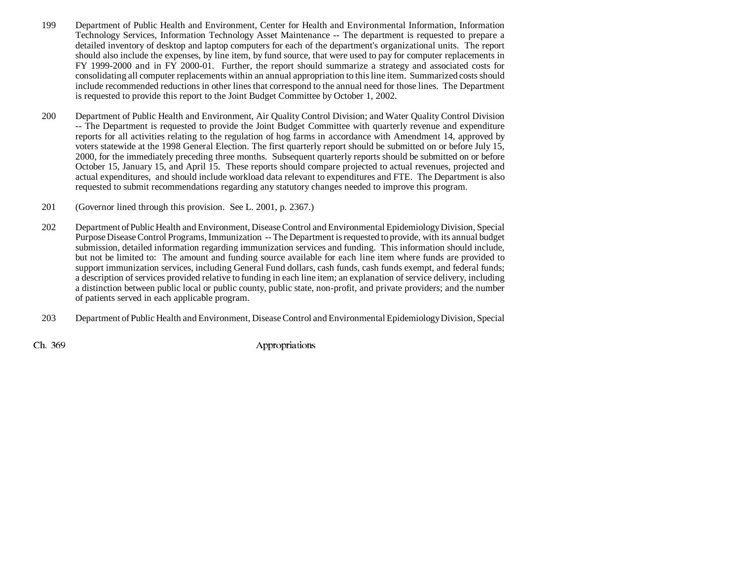- 199 Department of Public Health and Environment, Center for Health and Environmental Information, Information Technology Services, Information Technology Asset Maintenance -- The department is requested to prepare a detailed inventory of desktop and laptop computers for each of the department's organizational units. The report should also include the expenses, by line item, by fund source, that were used to pay for computer replacements in FY 1999-2000 and in FY 2000-01. Further, the report should summarize a strategy and associated costs for consolidating all computer replacements within an annual appropriation to this line item. Summarized costs should include recommended reductions in other lines that correspond to the annual need for those lines. The Department is requested to provide this report to the Joint Budget Committee by October 1, 2002.
- 200 Department of Public Health and Environment, Air Quality Control Division; and Water Quality Control Division -- The Department is requested to provide the Joint Budget Committee with quarterly revenue and expenditure reports for all activities relating to the regulation of hog farms in accordance with Amendment 14, approved by voters statewide at the 1998 General Election. The first quarterly report should be submitted on or before July 15, 2000, for the immediately preceding three months. Subsequent quarterly reports should be submitted on or before October 15, January 15, and April 15. These reports should compare projected to actual revenues, projected and actual expenditures, and should include workload data relevant to expenditures and FTE. The Department is also requested to submit recommendations regarding any statutory changes needed to improve this program.
- 201 (Governor lined through this provision. See L. 2001, p. 2367.)
- 202 Department of Public Health and Environment, Disease Control and Environmental Epidemiology Division, Special Purpose Disease Control Programs, Immunization -- The Department is requested to provide, with its annual budget submission, detailed information regarding immunization services and funding. This information should include, but not be limited to: The amount and funding source available for each line item where funds are provided to support immunization services, including General Fund dollars, cash funds, cash funds exempt, and federal funds; a description of services provided relative to funding in each line item; an explanation of service delivery, including a distinction between public local or public county, public state, non-profit, and private providers; and the number of patients served in each applicable program.
- 203 Department of Public Health and Environment, Disease Control and Environmental Epidemiology Division, Special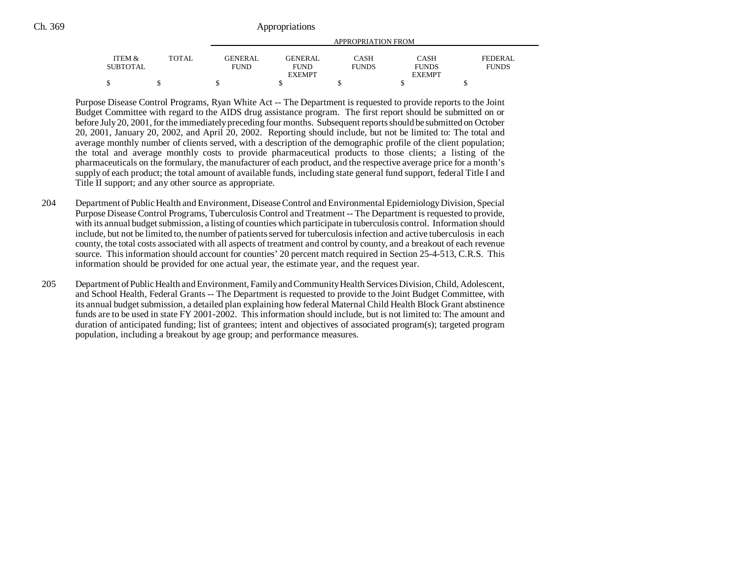| Ch. 369 | Appropriations |
|---------|----------------|
|         |                |

|                 |              | APPROPRIATION FROM |               |              |               |                |
|-----------------|--------------|--------------------|---------------|--------------|---------------|----------------|
| ITEM &          | <b>TOTAL</b> | GENERAL            | GENERAL       | CASH         | CASH          | <b>FEDERAL</b> |
| <b>SUBTOTAL</b> |              | <b>FUND</b>        | <b>FUND</b>   | <b>FUNDS</b> | <b>FUNDS</b>  | <b>FUNDS</b>   |
|                 |              |                    | <b>EXEMPT</b> |              | <b>EXEMPT</b> |                |
| \$              |              |                    |               |              |               |                |

Purpose Disease Control Programs, Ryan White Act -- The Department is requested to provide reports to the Joint Budget Committee with regard to the AIDS drug assistance program. The first report should be submitted on or before July 20, 2001, for the immediately preceding four months. Subsequent reports should be submitted on October 20, 2001, January 20, 2002, and April 20, 2002. Reporting should include, but not be limited to: The total and average monthly number of clients served, with a description of the demographic profile of the client population; the total and average monthly costs to provide pharmaceutical products to those clients; a listing of the pharmaceuticals on the formulary, the manufacturer of each product, and the respective average price for a month's supply of each product; the total amount of available funds, including state general fund support, federal Title I and Title II support; and any other source as appropriate.

- 204 Department of Public Health and Environment, Disease Control and Environmental Epidemiology Division, Special Purpose Disease Control Programs, Tuberculosis Control and Treatment -- The Department is requested to provide, with its annual budget submission, a listing of counties which participate in tuberculosis control. Information should include, but not be limited to, the number of patients served for tuberculosis infection and active tuberculosis in each county, the total costs associated with all aspects of treatment and control by county, and a breakout of each revenue source. This information should account for counties' 20 percent match required in Section 25-4-513, C.R.S. This information should be provided for one actual year, the estimate year, and the request year.
- 205 Department of Public Health and Environment, Family and Community Health Services Division, Child, Adolescent, and School Health, Federal Grants -- The Department is requested to provide to the Joint Budget Committee, with its annual budget submission, a detailed plan explaining how federal Maternal Child Health Block Grant abstinence funds are to be used in state FY 2001-2002. This information should include, but is not limited to: The amount and duration of anticipated funding; list of grantees; intent and objectives of associated program(s); targeted program population, including a breakout by age group; and performance measures.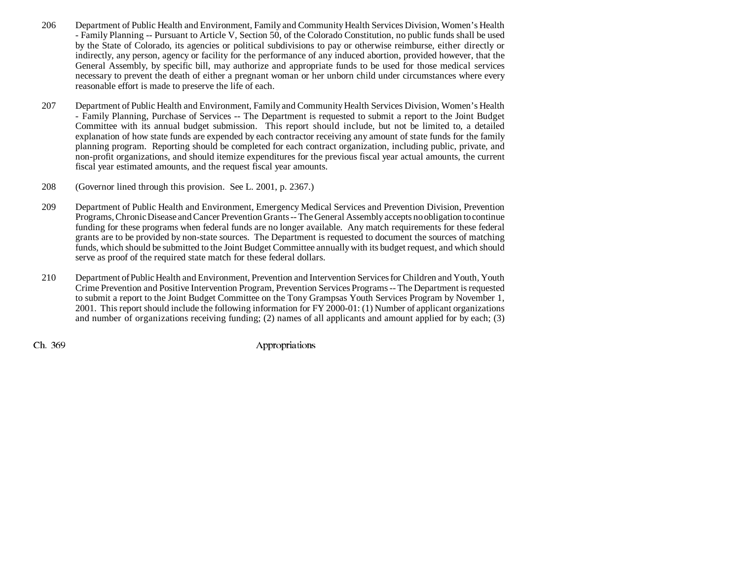- 206 Department of Public Health and Environment, Family and Community Health Services Division, Women's Health - Family Planning -- Pursuant to Article V, Section 50, of the Colorado Constitution, no public funds shall be used by the State of Colorado, its agencies or political subdivisions to pay or otherwise reimburse, either directly or indirectly, any person, agency or facility for the performance of any induced abortion, provided however, that the General Assembly, by specific bill, may authorize and appropriate funds to be used for those medical services necessary to prevent the death of either a pregnant woman or her unborn child under circumstances where every reasonable effort is made to preserve the life of each.
- 207 Department of Public Health and Environment, Family and Community Health Services Division, Women's Health - Family Planning, Purchase of Services -- The Department is requested to submit a report to the Joint Budget Committee with its annual budget submission. This report should include, but not be limited to, a detailed explanation of how state funds are expended by each contractor receiving any amount of state funds for the family planning program. Reporting should be completed for each contract organization, including public, private, and non-profit organizations, and should itemize expenditures for the previous fiscal year actual amounts, the current fiscal year estimated amounts, and the request fiscal year amounts.
- 208 (Governor lined through this provision. See L. 2001, p. 2367.)
- 209 Department of Public Health and Environment, Emergency Medical Services and Prevention Division, Prevention Programs, Chronic Disease and Cancer Prevention Grants -- The General Assembly accepts no obligation to continue funding for these programs when federal funds are no longer available. Any match requirements for these federal grants are to be provided by non-state sources. The Department is requested to document the sources of matching funds, which should be submitted to the Joint Budget Committee annually with its budget request, and which should serve as proof of the required state match for these federal dollars.
- 210 Department of Public Health and Environment, Prevention and Intervention Services for Children and Youth, Youth Crime Prevention and Positive Intervention Program, Prevention Services Programs -- The Department is requested to submit a report to the Joint Budget Committee on the Tony Grampsas Youth Services Program by November 1, 2001. This report should include the following information for FY 2000-01: (1) Number of applicant organizations and number of organizations receiving funding; (2) names of all applicants and amount applied for by each; (3)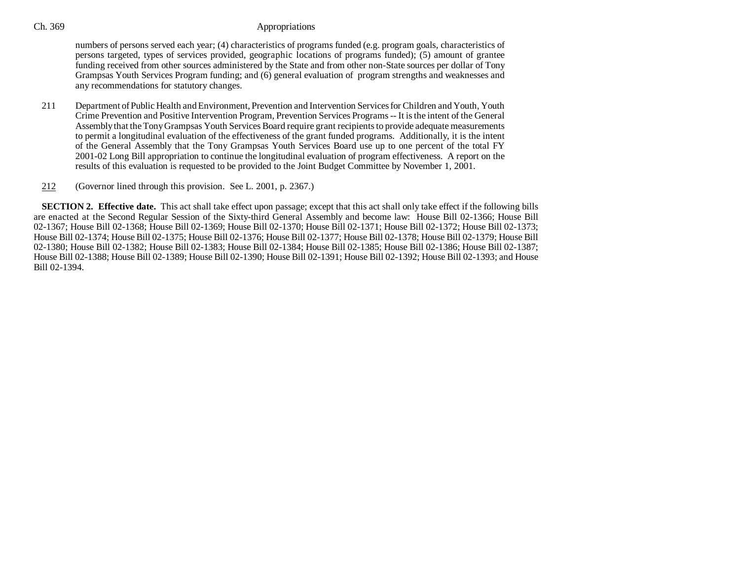numbers of persons served each year; (4) characteristics of programs funded (e.g. program goals, characteristics of persons targeted, types of services provided, geographic locations of programs funded); (5) amount of grantee funding received from other sources administered by the State and from other non-State sources per dollar of Tony Grampsas Youth Services Program funding; and (6) general evaluation of program strengths and weaknesses and any recommendations for statutory changes.

- 211 Department of Public Health and Environment, Prevention and Intervention Services for Children and Youth, Youth Crime Prevention and Positive Intervention Program, Prevention Services Programs -- It is the intent of the General Assembly that the Tony Grampsas Youth Services Board require grant recipients to provide adequate measurements to permit a longitudinal evaluation of the effectiveness of the grant funded programs. Additionally, it is the intent of the General Assembly that the Tony Grampsas Youth Services Board use up to one percent of the total FY 2001-02 Long Bill appropriation to continue the longitudinal evaluation of program effectiveness. A report on the results of this evaluation is requested to be provided to the Joint Budget Committee by November 1, 2001.
- 212(Governor lined through this provision. See L. 2001, p. 2367.)

**SECTION 2. Effective date.** This act shall take effect upon passage; except that this act shall only take effect if the following bills are enacted at the Second Regular Session of the Sixty-third General Assembly and become law: House Bill 02-1366; House Bill 02-1367; House Bill 02-1368; House Bill 02-1369; House Bill 02-1370; House Bill 02-1371; House Bill 02-1372; House Bill 02-1373; House Bill 02-1374; House Bill 02-1375; House Bill 02-1376; House Bill 02-1377; House Bill 02-1378; House Bill 02-1379; House Bill 02-1380; House Bill 02-1382; House Bill 02-1383; House Bill 02-1384; House Bill 02-1385; House Bill 02-1386; House Bill 02-1387; House Bill 02-1388; House Bill 02-1389; House Bill 02-1390; House Bill 02-1391; House Bill 02-1392; House Bill 02-1393; and House Bill 02-1394.